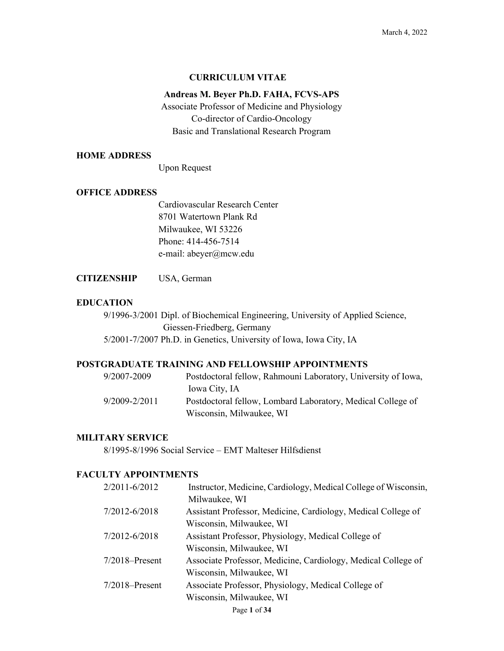#### **CURRICULUM VITAE**

### **Andreas M. Beyer Ph.D. FAHA, FCVS-APS**

Associate Professor of Medicine and Physiology Co-director of Cardio-Oncology Basic and Translational Research Program

### **HOME ADDRESS**

Upon Request

#### **OFFICE ADDRESS**

Cardiovascular Research Center 8701 Watertown Plank Rd Milwaukee, WI 53226 Phone: 414-456-7514 e-mail: abeyer@mcw.edu

**CITIZENSHIP** USA, German

### **EDUCATION**

9/1996-3/2001 Dipl. of Biochemical Engineering, University of Applied Science, Giessen-Friedberg, Germany 5/2001-7/2007 Ph.D. in Genetics, University of Iowa, Iowa City, IA

### **POSTGRADUATE TRAINING AND FELLOWSHIP APPOINTMENTS**

| 9/2007-2009   | Postdoctoral fellow, Rahmouni Laboratory, University of Iowa, |
|---------------|---------------------------------------------------------------|
|               | Iowa City, IA                                                 |
| 9/2009-2/2011 | Postdoctoral fellow, Lombard Laboratory, Medical College of   |
|               | Wisconsin, Milwaukee, WI                                      |

### **MILITARY SERVICE**

8/1995-8/1996 Social Service – EMT Malteser Hilfsdienst

## **FACULTY APPOINTMENTS**

| 2/2011-6/2012     | Instructor, Medicine, Cardiology, Medical College of Wisconsin, |
|-------------------|-----------------------------------------------------------------|
|                   | Milwaukee, WI                                                   |
| 7/2012-6/2018     | Assistant Professor, Medicine, Cardiology, Medical College of   |
|                   | Wisconsin, Milwaukee, WI                                        |
| 7/2012-6/2018     | Assistant Professor, Physiology, Medical College of             |
|                   | Wisconsin, Milwaukee, WI                                        |
| $7/2018$ -Present | Associate Professor, Medicine, Cardiology, Medical College of   |
|                   | Wisconsin, Milwaukee, WI                                        |
| $7/2018$ -Present | Associate Professor, Physiology, Medical College of             |
|                   | Wisconsin, Milwaukee, WI                                        |
|                   | Page 1 of 34                                                    |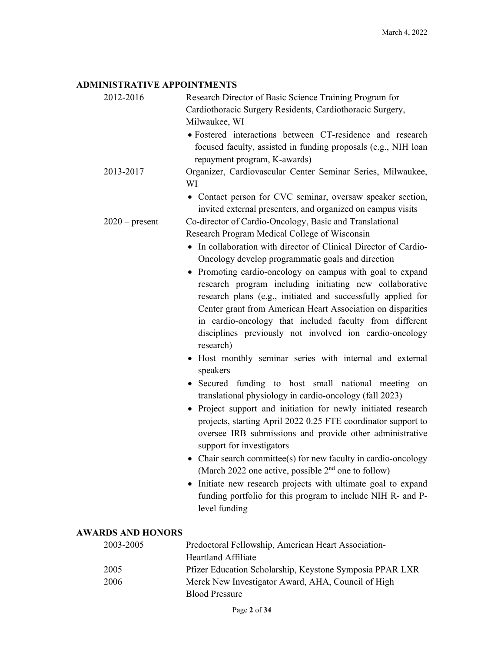## **ADMINISTRATIVE APPOINTMENTS**

| 2012-2016                | Research Director of Basic Science Training Program for<br>Cardiothoracic Surgery Residents, Cardiothoracic Surgery,<br>Milwaukee, WI<br>• Fostered interactions between CT-residence and research<br>focused faculty, assisted in funding proposals (e.g., NIH loan<br>repayment program, K-awards)                                                                                                                                                                                                                                                                                                                                                                                                                                                                                                                                                                                                                                                                                                                                                                                                                                       |
|--------------------------|--------------------------------------------------------------------------------------------------------------------------------------------------------------------------------------------------------------------------------------------------------------------------------------------------------------------------------------------------------------------------------------------------------------------------------------------------------------------------------------------------------------------------------------------------------------------------------------------------------------------------------------------------------------------------------------------------------------------------------------------------------------------------------------------------------------------------------------------------------------------------------------------------------------------------------------------------------------------------------------------------------------------------------------------------------------------------------------------------------------------------------------------|
| 2013-2017                | Organizer, Cardiovascular Center Seminar Series, Milwaukee,<br>WI                                                                                                                                                                                                                                                                                                                                                                                                                                                                                                                                                                                                                                                                                                                                                                                                                                                                                                                                                                                                                                                                          |
| $2020$ – present         | • Contact person for CVC seminar, oversaw speaker section,<br>invited external presenters, and organized on campus visits<br>Co-director of Cardio-Oncology, Basic and Translational<br>Research Program Medical College of Wisconsin<br>• In collaboration with director of Clinical Director of Cardio-                                                                                                                                                                                                                                                                                                                                                                                                                                                                                                                                                                                                                                                                                                                                                                                                                                  |
|                          | Oncology develop programmatic goals and direction<br>• Promoting cardio-oncology on campus with goal to expand<br>research program including initiating new collaborative<br>research plans (e.g., initiated and successfully applied for<br>Center grant from American Heart Association on disparities<br>in cardio-oncology that included faculty from different<br>disciplines previously not involved ion cardio-oncology<br>research)<br>• Host monthly seminar series with internal and external<br>speakers<br>• Secured funding to host small national meeting on<br>translational physiology in cardio-oncology (fall 2023)<br>• Project support and initiation for newly initiated research<br>projects, starting April 2022 0.25 FTE coordinator support to<br>oversee IRB submissions and provide other administrative<br>support for investigators<br>Chair search committee(s) for new faculty in cardio-oncology<br>(March 2022 one active, possible $2nd$ one to follow)<br>• Initiate new research projects with ultimate goal to expand<br>funding portfolio for this program to include NIH R- and P-<br>level funding |
| <b>AWARDS AND HONORS</b> |                                                                                                                                                                                                                                                                                                                                                                                                                                                                                                                                                                                                                                                                                                                                                                                                                                                                                                                                                                                                                                                                                                                                            |
| 2003-2005                | Predoctoral Fellowship, American Heart Association-<br><b>Heartland Affiliate</b>                                                                                                                                                                                                                                                                                                                                                                                                                                                                                                                                                                                                                                                                                                                                                                                                                                                                                                                                                                                                                                                          |
| 2005<br>2006             | Pfizer Education Scholarship, Keystone Symposia PPAR LXR<br>Merck New Investigator Award, AHA, Council of High<br><b>Blood Pressure</b>                                                                                                                                                                                                                                                                                                                                                                                                                                                                                                                                                                                                                                                                                                                                                                                                                                                                                                                                                                                                    |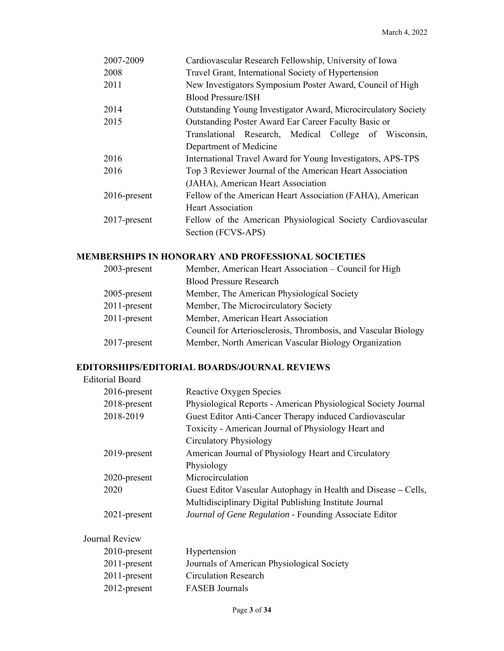| 2007-2009       | Cardiovascular Research Fellowship, University of Iowa         |
|-----------------|----------------------------------------------------------------|
| 2008            | Travel Grant, International Society of Hypertension            |
| 2011            | New Investigators Symposium Poster Award, Council of High      |
|                 | <b>Blood Pressure/ISH</b>                                      |
| 2014            | Outstanding Young Investigator Award, Microcirculatory Society |
| 2015            | Outstanding Poster Award Ear Career Faculty Basic or           |
|                 | Translational Research, Medical College of Wisconsin,          |
|                 | Department of Medicine                                         |
| 2016            | International Travel Award for Young Investigators, APS-TPS    |
| 2016            | Top 3 Reviewer Journal of the American Heart Association       |
|                 | (JAHA), American Heart Association                             |
| 2016-present    | Fellow of the American Heart Association (FAHA), American      |
|                 | <b>Heart Association</b>                                       |
| $2017$ -present | Fellow of the American Physiological Society Cardiovascular    |
|                 | Section (FCVS-APS)                                             |

# **MEMBERSHIPS IN HONORARY AND PROFESSIONAL SOCIETIES**

| <b>Blood Pressure Research</b>                                          |  |
|-------------------------------------------------------------------------|--|
| Member, The American Physiological Society<br>$2005$ -present           |  |
| Member, The Microcirculatory Society<br>$2011$ -present                 |  |
| Member, American Heart Association<br>$2011$ -present                   |  |
| Council for Arteriosclerosis, Thrombosis, and Vascular Biology          |  |
| Member, North American Vascular Biology Organization<br>$2017$ -present |  |

## **EDITORSHIPS/EDITORIAL BOARDS/JOURNAL REVIEWS**

| <b>Editorial Board</b> |                                                                |
|------------------------|----------------------------------------------------------------|
| $2016$ -present        | Reactive Oxygen Species                                        |
| 2018-present           | Physiological Reports - American Physiological Society Journal |
| 2018-2019              | Guest Editor Anti-Cancer Therapy induced Cardiovascular        |
|                        | Toxicity - American Journal of Physiology Heart and            |
|                        | Circulatory Physiology                                         |
| $2019$ -present        | American Journal of Physiology Heart and Circulatory           |
|                        | Physiology                                                     |
| 2020-present           | Microcirculation                                               |
| 2020                   | Guest Editor Vascular Autophagy in Health and Disease - Cells, |
|                        | Multidisciplinary Digital Publishing Institute Journal         |
| $2021$ -present        | Journal of Gene Regulation - Founding Associate Editor         |
| Journal Review         |                                                                |

| $2010$ -present | Hypertension                               |
|-----------------|--------------------------------------------|
| $2011$ -present | Journals of American Physiological Society |
| $2011$ -present | Circulation Research                       |
| $2012$ -present | <b>FASEB</b> Journals                      |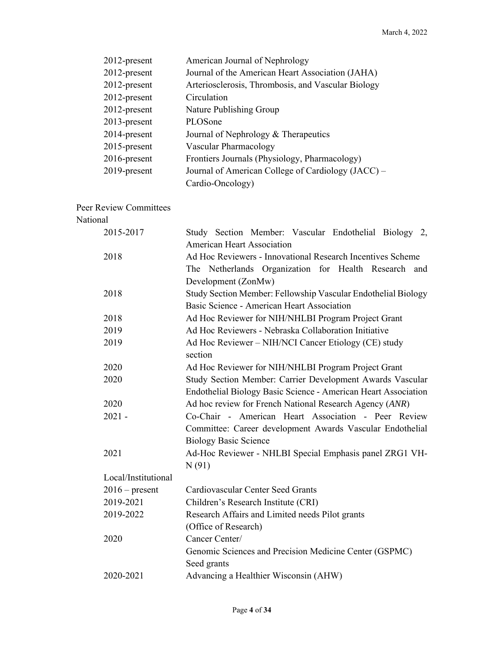| 2012-present    | American Journal of Nephrology                     |
|-----------------|----------------------------------------------------|
| 2012-present    | Journal of the American Heart Association (JAHA)   |
| $2012$ -present | Arteriosclerosis, Thrombosis, and Vascular Biology |
| 2012-present    | Circulation                                        |
| $2012$ -present | Nature Publishing Group                            |
| $2013$ -present | PLOSone                                            |
| $2014$ -present | Journal of Nephrology & Therapeutics               |
| 2015-present    | Vascular Pharmacology                              |
| $2016$ -present | Frontiers Journals (Physiology, Pharmacology)      |
| 2019-present    | Journal of American College of Cardiology (JACC) – |
|                 | Cardio-Oncology)                                   |
|                 |                                                    |

Peer Review Committees

#### National

| 2015-2017           | Study Section Member: Vascular Endothelial Biology 2,          |
|---------------------|----------------------------------------------------------------|
|                     | <b>American Heart Association</b>                              |
| 2018                | Ad Hoc Reviewers - Innovational Research Incentives Scheme     |
|                     | The Netherlands Organization for Health Research and           |
|                     | Development (ZonMw)                                            |
| 2018                | Study Section Member: Fellowship Vascular Endothelial Biology  |
|                     | Basic Science - American Heart Association                     |
| 2018                | Ad Hoc Reviewer for NIH/NHLBI Program Project Grant            |
| 2019                | Ad Hoc Reviewers - Nebraska Collaboration Initiative           |
| 2019                | Ad Hoc Reviewer - NIH/NCI Cancer Etiology (CE) study           |
|                     | section                                                        |
| 2020                | Ad Hoc Reviewer for NIH/NHLBI Program Project Grant            |
| 2020                | Study Section Member: Carrier Development Awards Vascular      |
|                     | Endothelial Biology Basic Science - American Heart Association |
| 2020                | Ad hoc review for French National Research Agency (ANR)        |
| $2021 -$            | Co-Chair - American Heart Association - Peer Review            |
|                     | Committee: Career development Awards Vascular Endothelial      |
|                     | <b>Biology Basic Science</b>                                   |
| 2021                | Ad-Hoc Reviewer - NHLBI Special Emphasis panel ZRG1 VH-        |
|                     | N(91)                                                          |
| Local/Institutional |                                                                |
| $2016$ – present    | Cardiovascular Center Seed Grants                              |
| 2019-2021           | Children's Research Institute (CRI)                            |
| 2019-2022           | Research Affairs and Limited needs Pilot grants                |
|                     | (Office of Research)                                           |
| 2020                | Cancer Center/                                                 |
|                     | Genomic Sciences and Precision Medicine Center (GSPMC)         |
|                     | Seed grants                                                    |
| 2020-2021           | Advancing a Healthier Wisconsin (AHW)                          |
|                     |                                                                |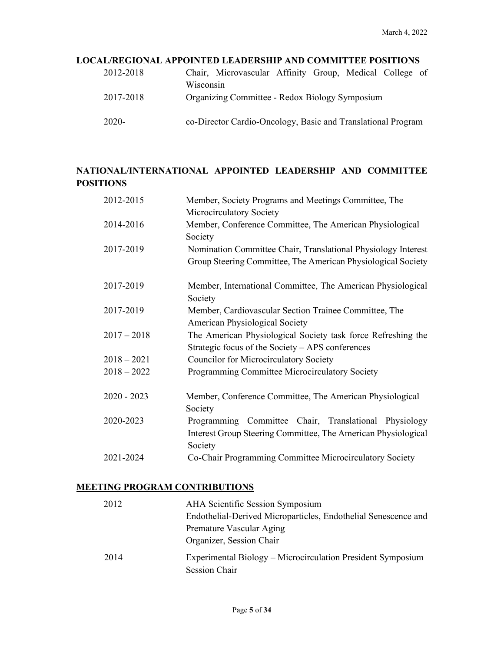## **LOCAL/REGIONAL APPOINTED LEADERSHIP AND COMMITTEE POSITIONS**

| 2012-2018 | Chair, Microvascular Affinity Group, Medical College of      |
|-----------|--------------------------------------------------------------|
| 2017-2018 | Wisconsin<br>Organizing Committee - Redox Biology Symposium  |
|           |                                                              |
| 2020-     | co-Director Cardio-Oncology, Basic and Translational Program |

# **NATIONAL/INTERNATIONAL APPOINTED LEADERSHIP AND COMMITTEE POSITIONS**

| Member, Society Programs and Meetings Committee, The                                                                              |
|-----------------------------------------------------------------------------------------------------------------------------------|
| Microcirculatory Society<br>Member, Conference Committee, The American Physiological                                              |
| Society                                                                                                                           |
| Nomination Committee Chair, Translational Physiology Interest<br>Group Steering Committee, The American Physiological Society     |
| Member, International Committee, The American Physiological<br>Society                                                            |
| Member, Cardiovascular Section Trainee Committee, The<br>American Physiological Society                                           |
| The American Physiological Society task force Refreshing the<br>Strategic focus of the Society – APS conferences                  |
| <b>Councilor for Microcirculatory Society</b>                                                                                     |
| Programming Committee Microcirculatory Society                                                                                    |
| Member, Conference Committee, The American Physiological<br>Society                                                               |
| Programming Committee Chair, Translational Physiology<br>Interest Group Steering Committee, The American Physiological<br>Society |
| Co-Chair Programming Committee Microcirculatory Society                                                                           |
|                                                                                                                                   |

## **MEETING PROGRAM CONTRIBUTIONS**

| 2012 | AHA Scientific Session Symposium<br>Endothelial-Derived Microparticles, Endothelial Senescence and<br>Premature Vascular Aging |
|------|--------------------------------------------------------------------------------------------------------------------------------|
|      | Organizer, Session Chair                                                                                                       |
| 2014 | Experimental Biology – Microcirculation President Symposium<br>Session Chair                                                   |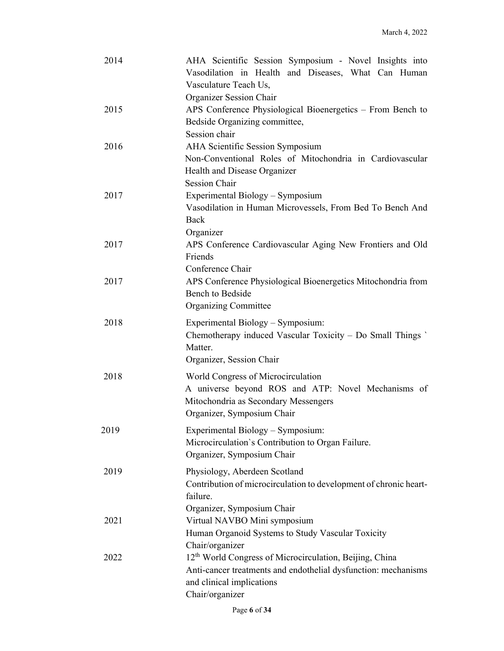| 2014 | AHA Scientific Session Symposium - Novel Insights into<br>Vasodilation in Health and Diseases, What Can Human<br>Vasculature Teach Us, |
|------|----------------------------------------------------------------------------------------------------------------------------------------|
|      | Organizer Session Chair                                                                                                                |
| 2015 | APS Conference Physiological Bioenergetics - From Bench to                                                                             |
|      | Bedside Organizing committee,                                                                                                          |
|      | Session chair                                                                                                                          |
| 2016 | AHA Scientific Session Symposium                                                                                                       |
|      | Non-Conventional Roles of Mitochondria in Cardiovascular                                                                               |
|      | Health and Disease Organizer<br><b>Session Chair</b>                                                                                   |
| 2017 | Experimental Biology - Symposium                                                                                                       |
|      | Vasodilation in Human Microvessels, From Bed To Bench And                                                                              |
|      | Back                                                                                                                                   |
|      | Organizer                                                                                                                              |
| 2017 | APS Conference Cardiovascular Aging New Frontiers and Old                                                                              |
|      | Friends                                                                                                                                |
|      | Conference Chair                                                                                                                       |
| 2017 | APS Conference Physiological Bioenergetics Mitochondria from                                                                           |
|      | <b>Bench to Bedside</b>                                                                                                                |
|      | <b>Organizing Committee</b>                                                                                                            |
| 2018 | Experimental Biology - Symposium:                                                                                                      |
|      | Chemotherapy induced Vascular Toxicity - Do Small Things<br>Matter.                                                                    |
|      | Organizer, Session Chair                                                                                                               |
| 2018 | World Congress of Microcirculation                                                                                                     |
|      | A universe beyond ROS and ATP: Novel Mechanisms of                                                                                     |
|      | Mitochondria as Secondary Messengers                                                                                                   |
|      | Organizer, Symposium Chair                                                                                                             |
| 2019 | Experimental Biology - Symposium:                                                                                                      |
|      | Microcirculation's Contribution to Organ Failure.                                                                                      |
|      | Organizer, Symposium Chair                                                                                                             |
| 2019 | Physiology, Aberdeen Scotland                                                                                                          |
|      | Contribution of microcirculation to development of chronic heart-                                                                      |
|      | failure.                                                                                                                               |
|      | Organizer, Symposium Chair                                                                                                             |
| 2021 | Virtual NAVBO Mini symposium                                                                                                           |
|      | Human Organoid Systems to Study Vascular Toxicity                                                                                      |
|      | Chair/organizer                                                                                                                        |
| 2022 | 12 <sup>th</sup> World Congress of Microcirculation, Beijing, China                                                                    |
|      | Anti-cancer treatments and endothelial dysfunction: mechanisms                                                                         |
|      | and clinical implications                                                                                                              |
|      | Chair/organizer                                                                                                                        |

Page **6** of **34**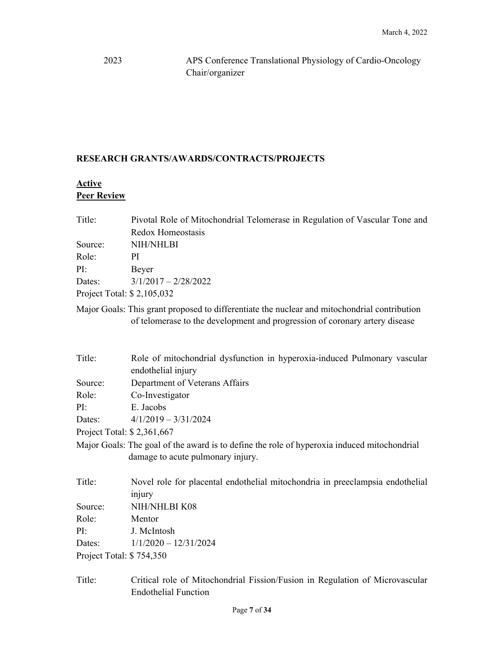2023 APS Conference Translational Physiology of Cardio-Oncology Chair/organizer

## **RESEARCH GRANTS/AWARDS/CONTRACTS/PROJECTS**

# **Active Peer Review**

| Title:                      | Pivotal Role of Mitochondrial Telomerase in Regulation of Vascular Tone and |
|-----------------------------|-----------------------------------------------------------------------------|
|                             | Redox Homeostasis                                                           |
| Source:                     | NIH/NHLBI                                                                   |
| Role:                       | PI                                                                          |
| PI:                         | Beyer                                                                       |
| Dates:                      | $3/1/2017 - 2/28/2022$                                                      |
| Project Total: $$2,105,032$ |                                                                             |

Major Goals: This grant proposed to differentiate the nuclear and mitochondrial contribution of telomerase to the development and progression of coronary artery disease

| Title:                     | Role of mitochondrial dysfunction in hyperoxia-induced Pulmonary vascular<br>endothelial injury                                  |
|----------------------------|----------------------------------------------------------------------------------------------------------------------------------|
| Source:                    | Department of Veterans Affairs                                                                                                   |
| Role:                      | Co-Investigator                                                                                                                  |
| PI:                        | E. Jacobs                                                                                                                        |
|                            | Dates: $4/1/2019 - 3/31/2024$                                                                                                    |
| Project Total: \$2,361,667 |                                                                                                                                  |
|                            | Major Goals: The goal of the award is to define the role of hyperoxia induced mitochondrial<br>damage to acute pulmonary injury. |
| Title:                     | Novel role for placental endothelial mitochondria in preeclampsia endothelial<br>injury                                          |
| Source:                    | NIH/NHLBI K08                                                                                                                    |
| Role:                      | Mentor                                                                                                                           |
| PI:                        | J. McIntosh                                                                                                                      |
| Dates:                     | $1/1/2020 - 12/31/2024$                                                                                                          |
| Project Total: \$754,350   |                                                                                                                                  |

Title: Critical role of Mitochondrial Fission/Fusion in Regulation of Microvascular Endothelial Function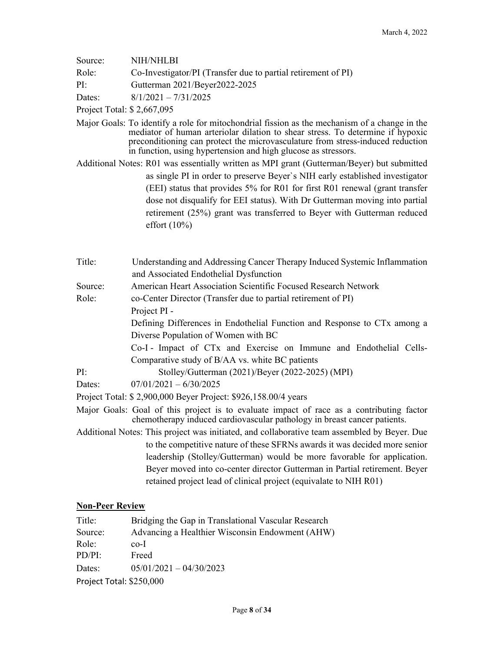| Source:<br>Role:<br>PI:                                                                      | <b>NIH/NHLBI</b><br>Co-Investigator/PI (Transfer due to partial retirement of PI)<br>Gutterman 2021/Beyer2022-2025                                                                                                                                                                                                                  |  |
|----------------------------------------------------------------------------------------------|-------------------------------------------------------------------------------------------------------------------------------------------------------------------------------------------------------------------------------------------------------------------------------------------------------------------------------------|--|
| Dates:                                                                                       | $8/1/2021 - 7/31/2025$                                                                                                                                                                                                                                                                                                              |  |
| Project Total: \$2,667,095                                                                   |                                                                                                                                                                                                                                                                                                                                     |  |
|                                                                                              | Major Goals: To identify a role for mitochondrial fission as the mechanism of a change in the<br>mediator of human arteriolar dilation to shear stress. To determine if hypoxic<br>preconditioning can protect the microvasculature from stress-induced reduction<br>in function, using hypertension and high glucose as stressors. |  |
|                                                                                              | Additional Notes: R01 was essentially written as MPI grant (Gutterman/Beyer) but submitted<br>as single PI in order to preserve Beyer's NIH early established investigator                                                                                                                                                          |  |
|                                                                                              | (EEI) status that provides 5% for R01 for first R01 renewal (grant transfer<br>dose not disqualify for EEI status). With Dr Gutterman moving into partial<br>retirement (25%) grant was transferred to Beyer with Gutterman reduced<br>effort $(10\%)$                                                                              |  |
| Title:                                                                                       | Understanding and Addressing Cancer Therapy Induced Systemic Inflammation                                                                                                                                                                                                                                                           |  |
|                                                                                              | and Associated Endothelial Dysfunction                                                                                                                                                                                                                                                                                              |  |
| Source:                                                                                      | American Heart Association Scientific Focused Research Network                                                                                                                                                                                                                                                                      |  |
| Role:                                                                                        | co-Center Director (Transfer due to partial retirement of PI)                                                                                                                                                                                                                                                                       |  |
|                                                                                              | Project PI -                                                                                                                                                                                                                                                                                                                        |  |
|                                                                                              | Defining Differences in Endothelial Function and Response to CTx among a<br>Diverse Population of Women with BC                                                                                                                                                                                                                     |  |
|                                                                                              | Co-I - Impact of CTx and Exercise on Immune and Endothelial Cells-                                                                                                                                                                                                                                                                  |  |
|                                                                                              | Comparative study of B/AA vs. white BC patients                                                                                                                                                                                                                                                                                     |  |
| PI:                                                                                          | Stolley/Gutterman (2021)/Beyer (2022-2025) (MPI)                                                                                                                                                                                                                                                                                    |  |
| Dates:                                                                                       | $07/01/2021 - 6/30/2025$                                                                                                                                                                                                                                                                                                            |  |
| Project Total: \$2,900,000 Beyer Project: \$926,158.00/4 years                               |                                                                                                                                                                                                                                                                                                                                     |  |
|                                                                                              | Major Goals: Goal of this project is to evaluate impact of race as a contributing factor<br>chemotherapy induced cardiovascular pathology in breast cancer patients.                                                                                                                                                                |  |
| Additional Notes: This project was initiated, and collaborative team assembled by Beyer. Due |                                                                                                                                                                                                                                                                                                                                     |  |
|                                                                                              | to the competitive nature of these SFRNs awards it was decided more senior                                                                                                                                                                                                                                                          |  |
|                                                                                              | leadership (Stolley/Gutterman) would be more favorable for application.                                                                                                                                                                                                                                                             |  |
|                                                                                              | Beyer moved into co-center director Gutterman in Partial retirement. Beyer                                                                                                                                                                                                                                                          |  |
|                                                                                              | retained project lead of clinical project (equivalate to NIH R01)                                                                                                                                                                                                                                                                   |  |

## **Non-Peer Review**

| Title:                   | Bridging the Gap in Translational Vascular Research |
|--------------------------|-----------------------------------------------------|
| Source:                  | Advancing a Healthier Wisconsin Endowment (AHW)     |
| Role:                    | $co-I$                                              |
| $PD/PI$ :                | Freed                                               |
| Dates:                   | $05/01/2021 - 04/30/2023$                           |
| Project Total: \$250,000 |                                                     |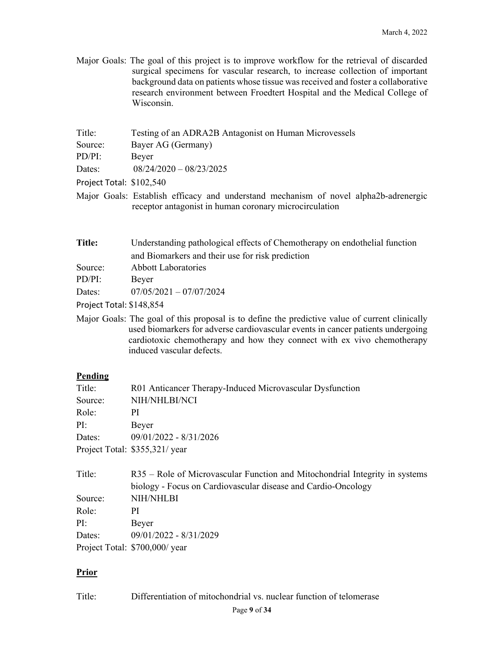Major Goals: The goal of this project is to improve workflow for the retrieval of discarded surgical specimens for vascular research, to increase collection of important background data on patients whose tissue was received and foster a collaborative research environment between Froedtert Hospital and the Medical College of Wisconsin.

| Title:                   | Testing of an ADRA2B Antagonist on Human Microvessels                 |
|--------------------------|-----------------------------------------------------------------------|
| Source:                  | Bayer AG (Germany)                                                    |
| PD/PI:                   | Beyer                                                                 |
| Dates:                   | $08/24/2020 - 08/23/2025$                                             |
| Project Total: \$102,540 |                                                                       |
|                          | Maior Goals: Establish efficacy and understand mechanism of novel al- |

Major Goals: Establish efficacy and understand mechanism of novel alpha2b-adrenergic receptor antagonist in human coronary microcirculation

| Title:                   | Understanding pathological effects of Chemotherapy on endothelial function |
|--------------------------|----------------------------------------------------------------------------|
|                          | and Biomarkers and their use for risk prediction                           |
| Source:                  | <b>Abbott Laboratories</b>                                                 |
| $PD/PI$ :                | Bever                                                                      |
| Dates:                   | $07/05/2021 - 07/07/2024$                                                  |
| Project Total: \$148,854 |                                                                            |

Major Goals: The goal of this proposal is to define the predictive value of current clinically used biomarkers for adverse cardiovascular events in cancer patients undergoing cardiotoxic chemotherapy and how they connect with ex vivo chemotherapy induced vascular defects.

### **Pending**

| Title:  | R01 Anticancer Therapy-Induced Microvascular Dysfunction |
|---------|----------------------------------------------------------|
| Source: | NIH/NHLBI/NCI                                            |
| Role:   | ΡI                                                       |
| PI:     | Beyer                                                    |
| Dates:  | 09/01/2022 - 8/31/2026                                   |
|         | Project Total: \$355,321/year                            |

| Title:  | R35 – Role of Microvascular Function and Mitochondrial Integrity in systems |
|---------|-----------------------------------------------------------------------------|
|         | biology - Focus on Cardiovascular disease and Cardio-Oncology               |
| Source: | <b>NIH/NHLBI</b>                                                            |
| Role:   | PI                                                                          |
| PI:     | Beyer                                                                       |
| Dates:  | 09/01/2022 - 8/31/2029                                                      |
|         | Project Total: \$700,000/ year                                              |

### **Prior**

Title: Differentiation of mitochondrial vs. nuclear function of telomerase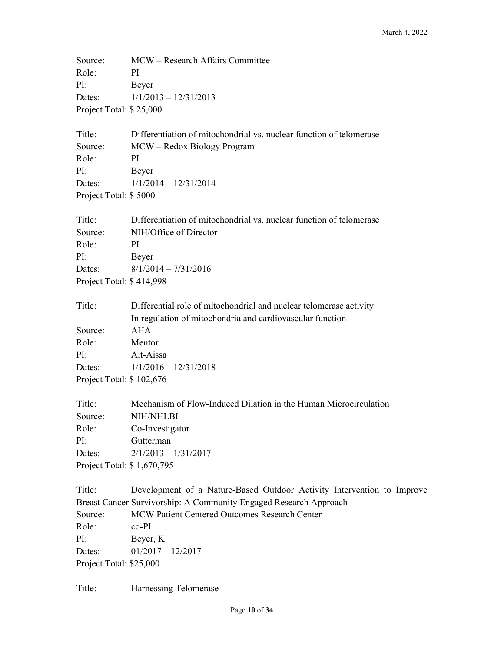Source: MCW – Research Affairs Committee Role: PI PI: Beyer Dates: 1/1/2013 – 12/31/2013 Project Total: \$ 25,000

Title: Differentiation of mitochondrial vs. nuclear function of telomerase Source: MCW – Redox Biology Program Role: PI PI: Beyer Dates: 1/1/2014 – 12/31/2014 Project Total: \$ 5000

| Title:                   | Differentiation of mitochondrial vs. nuclear function of telomerase |
|--------------------------|---------------------------------------------------------------------|
| Source:                  | NIH/Office of Director                                              |
| Role:                    | ΡI                                                                  |
| PI:                      | Beyer                                                               |
| Dates:                   | $8/1/2014 - 7/31/2016$                                              |
| Project Total: \$414,998 |                                                                     |

| Title:                   | Differential role of mitochondrial and nuclear telomerase activity |
|--------------------------|--------------------------------------------------------------------|
|                          | In regulation of mitochondria and cardiovascular function          |
| Source:                  | AHA                                                                |
| Role:                    | Mentor                                                             |
| PI:                      | Ait-Aissa                                                          |
|                          | Dates: $1/1/2016 - 12/31/2018$                                     |
| Project Total: \$102,676 |                                                                    |

| Title:                     | Mechanism of Flow-Induced Dilation in the Human Microcirculation |
|----------------------------|------------------------------------------------------------------|
| Source:                    | NIH/NHLBI                                                        |
| Role:                      | Co-Investigator                                                  |
| PI:                        | Gutterman                                                        |
| Dates:                     | $2/1/2013 - 1/31/2017$                                           |
| Project Total: \$1,670,795 |                                                                  |

Title: Development of a Nature-Based Outdoor Activity Intervention to Improve Breast Cancer Survivorship: A Community Engaged Research Approach Source: MCW Patient Centered Outcomes Research Center Role: co-PI PI: Beyer, K Dates: 01/2017 – 12/2017 Project Total: \$25,000

Title: Harnessing Telomerase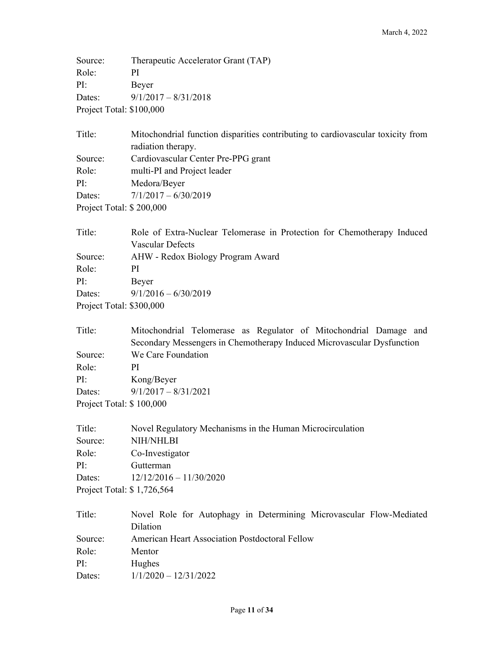Source: Therapeutic Accelerator Grant (TAP) Role: PI PI: Beyer Dates: 9/1/2017 – 8/31/2018 Project Total: \$100,000

| Title:                   | Mitochondrial function disparities contributing to cardiovascular toxicity from |  |  |
|--------------------------|---------------------------------------------------------------------------------|--|--|
|                          | radiation therapy.                                                              |  |  |
| Source:                  | Cardiovascular Center Pre-PPG grant                                             |  |  |
| Role:                    | multi-PI and Project leader                                                     |  |  |
| PI:                      | Medora/Beyer                                                                    |  |  |
| Dates:                   | $7/1/2017 - 6/30/2019$                                                          |  |  |
| Project Total: \$200,000 |                                                                                 |  |  |

| Role of Extra-Nuclear Telomerase in Protection for Chemotherapy Induced |  |  |  |
|-------------------------------------------------------------------------|--|--|--|
| Vascular Defects                                                        |  |  |  |
| AHW - Redox Biology Program Award                                       |  |  |  |
| PI                                                                      |  |  |  |
| Beyer                                                                   |  |  |  |
| $9/1/2016 - 6/30/2019$                                                  |  |  |  |
| Project Total: \$300,000                                                |  |  |  |
|                                                                         |  |  |  |

| Title:                   | Mitochondrial Telomerase as Regulator of Mitochondrial Damage and      |  |  |
|--------------------------|------------------------------------------------------------------------|--|--|
|                          | Secondary Messengers in Chemotherapy Induced Microvascular Dysfunction |  |  |
| Source:                  | We Care Foundation                                                     |  |  |
| Role:                    | РI                                                                     |  |  |
| PI:                      | Kong/Beyer                                                             |  |  |
| Dates:                   | $9/1/2017 - 8/31/2021$                                                 |  |  |
| Project Total: \$100,000 |                                                                        |  |  |

| Title:                              | Novel Regulatory Mechanisms in the Human Microcirculation |  |
|-------------------------------------|-----------------------------------------------------------|--|
| Source:                             | NIH/NHLBI                                                 |  |
| Role:                               | Co-Investigator                                           |  |
| PI:                                 | Gutterman                                                 |  |
| $12/12/2016 - 11/30/2020$<br>Dates: |                                                           |  |
| Project Total: \$1,726,564          |                                                           |  |

| Title:  | Novel Role for Autophagy in Determining Microvascular Flow-Mediated |
|---------|---------------------------------------------------------------------|
|         | Dilation                                                            |
| Source: | American Heart Association Postdoctoral Fellow                      |
| Role:   | Mentor                                                              |
| PI:     | Hughes                                                              |
| Dates:  | $1/1/2020 - 12/31/2022$                                             |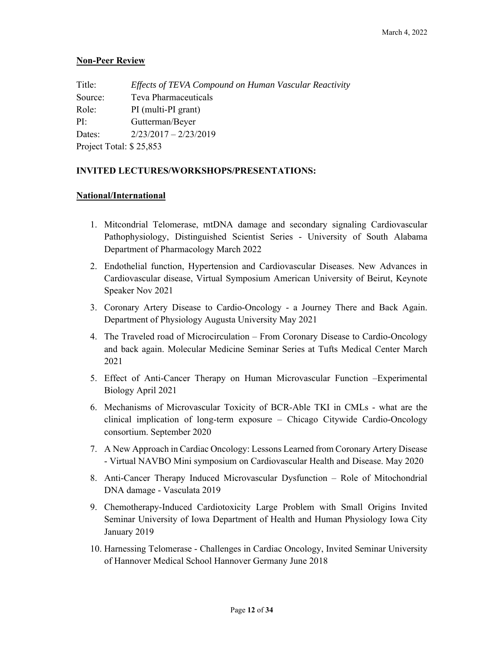## **Non-Peer Review**

| Title:                  | Effects of TEVA Compound on Human Vascular Reactivity |
|-------------------------|-------------------------------------------------------|
| Source:                 | Teva Pharmaceuticals                                  |
| Role:                   | PI (multi-PI grant)                                   |
| PI:                     | Gutterman/Beyer                                       |
| Dates:                  | $2/23/2017 - 2/23/2019$                               |
| Project Total: \$25,853 |                                                       |

## **INVITED LECTURES/WORKSHOPS/PRESENTATIONS:**

## **National/International**

- 1. Mitcondrial Telomerase, mtDNA damage and secondary signaling Cardiovascular Pathophysiology, Distinguished Scientist Series - University of South Alabama Department of Pharmacology March 2022
- 2. Endothelial function, Hypertension and Cardiovascular Diseases. New Advances in Cardiovascular disease, Virtual Symposium American University of Beirut, Keynote Speaker Nov 2021
- 3. Coronary Artery Disease to Cardio-Oncology a Journey There and Back Again. Department of Physiology Augusta University May 2021
- 4. The Traveled road of Microcirculation From Coronary Disease to Cardio-Oncology and back again. Molecular Medicine Seminar Series at Tufts Medical Center March 2021
- 5. Effect of Anti-Cancer Therapy on Human Microvascular Function –Experimental Biology April 2021
- 6. Mechanisms of Microvascular Toxicity of BCR-Able TKI in CMLs what are the clinical implication of long-term exposure – Chicago Citywide Cardio-Oncology consortium. September 2020
- 7. A New Approach in Cardiac Oncology: Lessons Learned from Coronary Artery Disease - Virtual NAVBO Mini symposium on Cardiovascular Health and Disease. May 2020
- 8. Anti-Cancer Therapy Induced Microvascular Dysfunction Role of Mitochondrial DNA damage - Vasculata 2019
- 9. Chemotherapy-Induced Cardiotoxicity Large Problem with Small Origins Invited Seminar University of Iowa Department of Health and Human Physiology Iowa City January 2019
- 10. Harnessing Telomerase Challenges in Cardiac Oncology, Invited Seminar University of Hannover Medical School Hannover Germany June 2018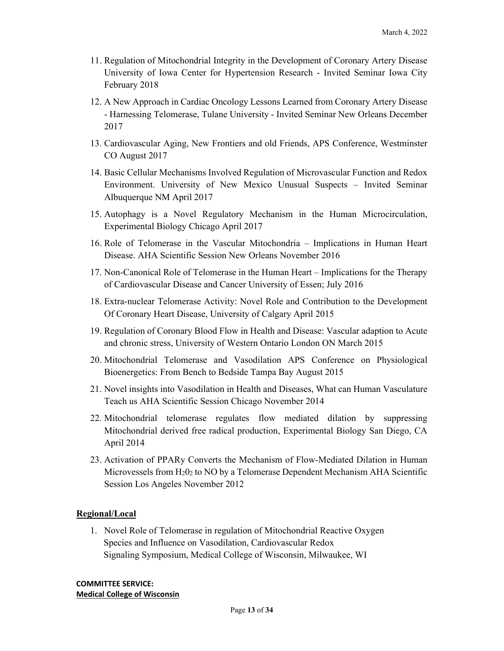- 11. Regulation of Mitochondrial Integrity in the Development of Coronary Artery Disease University of Iowa Center for Hypertension Research - Invited Seminar Iowa City February 2018
- 12. A New Approach in Cardiac Oncology Lessons Learned from Coronary Artery Disease - Harnessing Telomerase, Tulane University - Invited Seminar New Orleans December 2017
- 13. Cardiovascular Aging, New Frontiers and old Friends, APS Conference, Westminster CO August 2017
- 14. Basic Cellular Mechanisms Involved Regulation of Microvascular Function and Redox Environment. University of New Mexico Unusual Suspects – Invited Seminar Albuquerque NM April 2017
- 15. Autophagy is a Novel Regulatory Mechanism in the Human Microcirculation, Experimental Biology Chicago April 2017
- 16. Role of Telomerase in the Vascular Mitochondria Implications in Human Heart Disease. AHA Scientific Session New Orleans November 2016
- 17. Non-Canonical Role of Telomerase in the Human Heart Implications for the Therapy of Cardiovascular Disease and Cancer University of Essen; July 2016
- 18. Extra-nuclear Telomerase Activity: Novel Role and Contribution to the Development Of Coronary Heart Disease, University of Calgary April 2015
- 19. Regulation of Coronary Blood Flow in Health and Disease: Vascular adaption to Acute and chronic stress, University of Western Ontario London ON March 2015
- 20. Mitochondrial Telomerase and Vasodilation APS Conference on Physiological Bioenergetics: From Bench to Bedside Tampa Bay August 2015
- 21. Novel insights into Vasodilation in Health and Diseases, What can Human Vasculature Teach us AHA Scientific Session Chicago November 2014
- 22. Mitochondrial telomerase regulates flow mediated dilation by suppressing Mitochondrial derived free radical production, Experimental Biology San Diego, CA April 2014
- 23. Activation of PPARy Converts the Mechanism of Flow-Mediated Dilation in Human Microvessels from H202 to NO by a Telomerase Dependent Mechanism AHA Scientific Session Los Angeles November 2012

### **Regional/Local**

1. Novel Role of Telomerase in regulation of Mitochondrial Reactive Oxygen Species and Influence on Vasodilation, Cardiovascular Redox Signaling Symposium, Medical College of Wisconsin, Milwaukee, WI

**COMMITTEE SERVICE: Medical College of Wisconsin**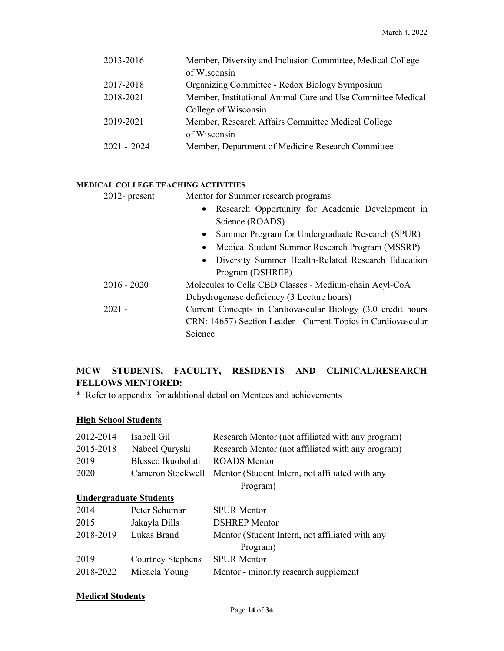| 2013-2016     | Member, Diversity and Inclusion Committee, Medical College  |
|---------------|-------------------------------------------------------------|
|               | of Wisconsin                                                |
| 2017-2018     | Organizing Committee - Redox Biology Symposium              |
| 2018-2021     | Member, Institutional Animal Care and Use Committee Medical |
|               | College of Wisconsin                                        |
| 2019-2021     | Member, Research Affairs Committee Medical College          |
|               | of Wisconsin                                                |
| $2021 - 2024$ | Member, Department of Medicine Research Committee           |
|               |                                                             |

#### **MEDICAL COLLEGE TEACHING ACTIVITIES**

| $2012$ - present | Mentor for Summer research programs                           |  |
|------------------|---------------------------------------------------------------|--|
|                  | • Research Opportunity for Academic Development in            |  |
|                  | Science (ROADS)                                               |  |
|                  | Summer Program for Undergraduate Research (SPUR)<br>$\bullet$ |  |
|                  | Medical Student Summer Research Program (MSSRP)<br>$\bullet$  |  |
|                  | • Diversity Summer Health-Related Research Education          |  |
|                  | Program (DSHREP)                                              |  |
| $2016 - 2020$    | Molecules to Cells CBD Classes - Medium-chain Acyl-CoA        |  |
|                  | Dehydrogenase deficiency (3 Lecture hours)                    |  |
| $2021 -$         | Current Concepts in Cardiovascular Biology (3.0 credit hours  |  |
|                  | CRN: 14657) Section Leader - Current Topics in Cardiovascular |  |
|                  | Science                                                       |  |

# **MCW STUDENTS, FACULTY, RESIDENTS AND CLINICAL/RESEARCH FELLOWS MENTORED:**

\* Refer to appendix for additional detail on Mentees and achievements

# **High School Students**

| 2012-2014 | Isabell Gil                   | Research Mentor (not affiliated with any program) |
|-----------|-------------------------------|---------------------------------------------------|
| 2015-2018 | Nabeel Quryshi                | Research Mentor (not affiliated with any program) |
| 2019      | Blessed Ikuobolati            | ROADS Mentor                                      |
| 2020      | Cameron Stockwell             | Mentor (Student Intern, not affiliated with any   |
|           |                               | Program)                                          |
|           | <b>Undergraduate Students</b> |                                                   |
| 2014      | Peter Schuman                 | <b>SPUR Mentor</b>                                |
| 2015      | Jakayla Dills                 | <b>DSHREP</b> Mentor                              |
| 2018-2019 | Lukas Brand                   | Mentor (Student Intern, not affiliated with any   |
|           |                               | Program)                                          |
| 2019      | <b>Courtney Stephens</b>      | <b>SPUR Mentor</b>                                |
| 2018-2022 | Micaela Young                 | Mentor - minority research supplement             |

## **Medical Students**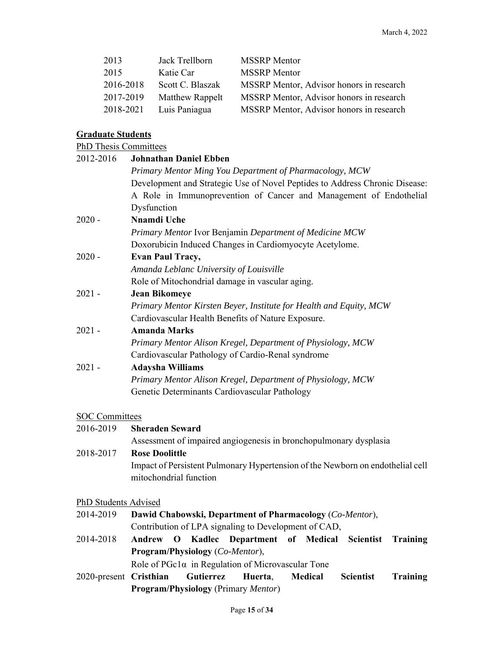| 2013      | Jack Trellborn          | <b>MSSRP</b> Mentor                      |
|-----------|-------------------------|------------------------------------------|
| 2015      | Katie Car               | <b>MSSRP</b> Mentor                      |
| 2016-2018 | Scott C. Blaszak        | MSSRP Mentor, Advisor honors in research |
| 2017-2019 | <b>Matthew Rappelt</b>  | MSSRP Mentor, Advisor honors in research |
|           | 2018-2021 Luis Paniagua | MSSRP Mentor, Advisor honors in research |

# **Graduate Students**

PhD Thesis Committees

| <b>Johnathan Daniel Ebben</b><br>2012-2016 |                                                                                |  |  |
|--------------------------------------------|--------------------------------------------------------------------------------|--|--|
|                                            | Primary Mentor Ming You Department of Pharmacology, MCW                        |  |  |
|                                            | Development and Strategic Use of Novel Peptides to Address Chronic Disease:    |  |  |
|                                            | A Role in Immunoprevention of Cancer and Management of Endothelial             |  |  |
|                                            | Dysfunction                                                                    |  |  |
| $2020 -$                                   | <b>Nnamdi Uche</b>                                                             |  |  |
|                                            | Primary Mentor Ivor Benjamin Department of Medicine MCW                        |  |  |
|                                            | Doxorubicin Induced Changes in Cardiomyocyte Acetylome.                        |  |  |
| $2020 -$                                   | <b>Evan Paul Tracy,</b>                                                        |  |  |
|                                            | Amanda Leblanc University of Louisville                                        |  |  |
|                                            | Role of Mitochondrial damage in vascular aging.                                |  |  |
| $2021 -$                                   | <b>Jean Bikomeye</b>                                                           |  |  |
|                                            | Primary Mentor Kirsten Beyer, Institute for Health and Equity, MCW             |  |  |
|                                            | Cardiovascular Health Benefits of Nature Exposure.                             |  |  |
| $2021 -$                                   | <b>Amanda Marks</b>                                                            |  |  |
|                                            | Primary Mentor Alison Kregel, Department of Physiology, MCW                    |  |  |
|                                            | Cardiovascular Pathology of Cardio-Renal syndrome                              |  |  |
| $2021 -$                                   | <b>Adaysha Williams</b>                                                        |  |  |
|                                            | Primary Mentor Alison Kregel, Department of Physiology, MCW                    |  |  |
|                                            | Genetic Determinants Cardiovascular Pathology                                  |  |  |
| <b>SOC Committees</b>                      |                                                                                |  |  |
| 2016-2019                                  | <b>Sheraden Seward</b>                                                         |  |  |
|                                            | Assessment of impaired angiogenesis in bronchopulmonary dysplasia              |  |  |
| 2018-2017                                  | <b>Rose Doolittle</b>                                                          |  |  |
|                                            | Impact of Persistent Pulmonary Hypertension of the Newborn on endothelial cell |  |  |
|                                            | mitochondrial function                                                         |  |  |
| PhD Students Advised                       |                                                                                |  |  |
| 2014-2019                                  | Dawid Chabowski, Department of Pharmacology (Co-Mentor),                       |  |  |
|                                            | Contribution of LPA signaling to Development of CAD,                           |  |  |
| 2014-2018                                  | Andrew O Kadlec Department of Medical Scientist<br><b>Training</b>             |  |  |
|                                            | Program/Physiology (Co-Mentor),                                                |  |  |
|                                            | Role of $PGc1\alpha$ in Regulation of Microvascular Tone                       |  |  |
| 2020-present Cristhian                     | Gutierrez<br>Huerta,<br><b>Scientist</b><br>Medical<br><b>Training</b>         |  |  |
|                                            | <b>Program/Physiology</b> (Primary Mentor)                                     |  |  |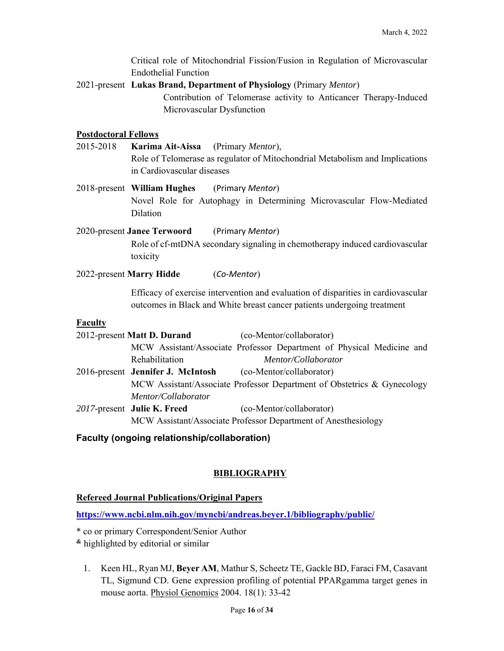|                                                         | <b>Endothelial Function</b>                                                                                                                                 | Critical role of Mitochondrial Fission/Fusion in Regulation of Microvascular                                                                                 |  |
|---------------------------------------------------------|-------------------------------------------------------------------------------------------------------------------------------------------------------------|--------------------------------------------------------------------------------------------------------------------------------------------------------------|--|
|                                                         | 2021-present Lukas Brand, Department of Physiology (Primary Mentor)                                                                                         |                                                                                                                                                              |  |
|                                                         | Microvascular Dysfunction                                                                                                                                   | Contribution of Telomerase activity to Anticancer Therapy-Induced                                                                                            |  |
| <b>Postdoctoral Fellows</b>                             |                                                                                                                                                             |                                                                                                                                                              |  |
| 2015-2018                                               | Karima Ait-Aissa<br>(Primary <i>Mentor</i> ),<br>Role of Telomerase as regulator of Mitochondrial Metabolism and Implications<br>in Cardiovascular diseases |                                                                                                                                                              |  |
|                                                         | 2018-present William Hughes                                                                                                                                 | (Primary Mentor)                                                                                                                                             |  |
|                                                         | Dilation                                                                                                                                                    | Novel Role for Autophagy in Determining Microvascular Flow-Mediated                                                                                          |  |
|                                                         | 2020-present Janee Terwoord (Primary Mentor)                                                                                                                |                                                                                                                                                              |  |
|                                                         | toxicity                                                                                                                                                    | Role of cf-mtDNA secondary signaling in chemotherapy induced cardiovascular                                                                                  |  |
|                                                         | 2022-present Marry Hidde<br>(Co-Mentor)                                                                                                                     |                                                                                                                                                              |  |
|                                                         |                                                                                                                                                             | Efficacy of exercise intervention and evaluation of disparities in cardiovascular<br>outcomes in Black and White breast cancer patients undergoing treatment |  |
| <b>Faculty</b>                                          |                                                                                                                                                             |                                                                                                                                                              |  |
| 2012-present Matt D. Durand<br>(co-Mentor/collaborator) |                                                                                                                                                             |                                                                                                                                                              |  |
|                                                         |                                                                                                                                                             | MCW Assistant/Associate Professor Department of Physical Medicine and                                                                                        |  |
|                                                         | Rehabilitation                                                                                                                                              | Mentor/Collaborator                                                                                                                                          |  |
|                                                         | 2016-present Jennifer J. McIntosh                                                                                                                           | (co-Mentor/collaborator)                                                                                                                                     |  |
|                                                         |                                                                                                                                                             | MCW Assistant/Associate Professor Department of Obstetrics & Gynecology                                                                                      |  |
|                                                         | Mentor/Collaborator                                                                                                                                         |                                                                                                                                                              |  |
|                                                         | 2017-present Julie K. Freed                                                                                                                                 | (co-Mentor/collaborator)                                                                                                                                     |  |

MCW Assistant/Associate Professor Department of Anesthesiology

# **Faculty (ongoing relationship/collaboration)**

# **BIBLIOGRAPHY**

## **Refereed Journal Publications/Original Papers**

**https://www.ncbi.nlm.nih.gov/myncbi/andreas.beyer.1/bibliography/public/** 

- \* co or primary Correspondent/Senior Author
- **&** highlighted by editorial or similar
	- 1. Keen HL, Ryan MJ, **Beyer AM**, Mathur S, Scheetz TE, Gackle BD, Faraci FM, Casavant TL, Sigmund CD. Gene expression profiling of potential PPARgamma target genes in mouse aorta. Physiol Genomics 2004. 18(1): 33-42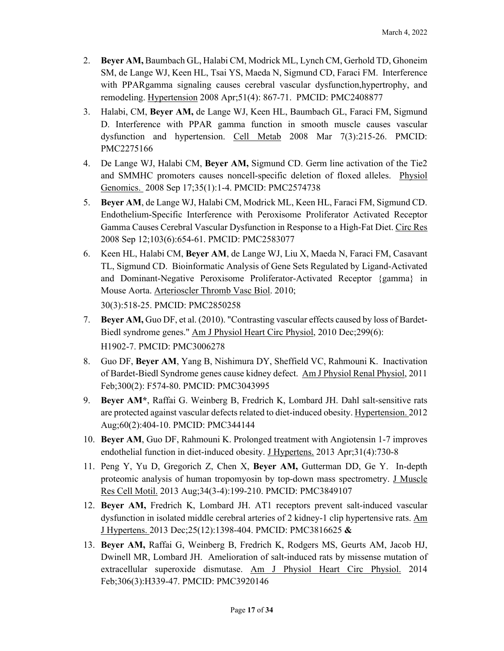- 2. **Beyer AM,** Baumbach GL, Halabi CM, Modrick ML, Lynch CM, Gerhold TD, Ghoneim SM, de Lange WJ, Keen HL, Tsai YS, Maeda N, Sigmund CD, Faraci FM. Interference with PPARgamma signaling causes cerebral vascular dysfunction,hypertrophy, and remodeling. Hypertension 2008 Apr;51(4): 867-71. PMCID: PMC2408877
- 3. Halabi, CM, **Beyer AM,** de Lange WJ, Keen HL, Baumbach GL, Faraci FM, Sigmund D. Interference with PPAR gamma function in smooth muscle causes vascular dysfunction and hypertension. Cell Metab 2008 Mar 7(3):215-26. PMCID: PMC2275166
- 4. De Lange WJ, Halabi CM, **Beyer AM,** Sigmund CD. Germ line activation of the Tie2 and SMMHC promoters causes noncell-specific deletion of floxed alleles. Physiol Genomics. 2008 Sep 17;35(1):1-4. PMCID: PMC2574738
- 5. **Beyer AM**, de Lange WJ, Halabi CM, Modrick ML, Keen HL, Faraci FM, Sigmund CD. Endothelium-Specific Interference with Peroxisome Proliferator Activated Receptor Gamma Causes Cerebral Vascular Dysfunction in Response to a High-Fat Diet. Circ Res 2008 Sep 12;103(6):654-61. PMCID: PMC2583077
- 6. Keen HL, Halabi CM, **Beyer AM**, de Lange WJ, Liu X, Maeda N, Faraci FM, Casavant TL, Sigmund CD. Bioinformatic Analysis of Gene Sets Regulated by Ligand-Activated and Dominant-Negative Peroxisome Proliferator-Activated Receptor {gamma} in Mouse Aorta. Arterioscler Thromb Vasc Biol. 2010;

30(3):518-25. PMCID: PMC2850258

- 7. **Beyer AM,** Guo DF, et al. (2010). "Contrasting vascular effects caused by loss of Bardet-Biedl syndrome genes." Am J Physiol Heart Circ Physiol, 2010 Dec;299(6): H1902-7. PMCID: PMC3006278
- 8. Guo DF, **Beyer AM**, Yang B, Nishimura DY, Sheffield VC, Rahmouni K. Inactivation of Bardet-Biedl Syndrome genes cause kidney defect. Am J Physiol Renal Physiol, 2011 Feb;300(2): F574-80. PMCID: PMC3043995
- 9. **Beyer AM\***, Raffai G. Weinberg B, Fredrich K, Lombard JH. Dahl salt-sensitive rats are protected against vascular defects related to diet-induced obesity. Hypertension. 2012 Aug;60(2):404-10. PMCID: PMC344144
- 10. **Beyer AM**, Guo DF, Rahmouni K. Prolonged treatment with Angiotensin 1-7 improves endothelial function in diet-induced obesity. J Hypertens. 2013 Apr;31(4):730-8
- 11. Peng Y, Yu D, Gregorich Z, Chen X, **Beyer AM,** Gutterman DD, Ge Y. In-depth proteomic analysis of human tropomyosin by top-down mass spectrometry. J Muscle Res Cell Motil. 2013 Aug;34(3-4):199-210. PMCID: PMC3849107
- 12. **Beyer AM,** Fredrich K, Lombard JH. AT1 receptors prevent salt-induced vascular dysfunction in isolated middle cerebral arteries of 2 kidney-1 clip hypertensive rats. Am J Hypertens. 2013 Dec;25(12):1398-404. PMCID: PMC3816625 **&**
- 13. **Beyer AM,** Raffai G, Weinberg B, Fredrich K, Rodgers MS, Geurts AM, Jacob HJ, Dwinell MR, Lombard JH. Amelioration of salt-induced rats by missense mutation of extracellular superoxide dismutase. Am J Physiol Heart Circ Physiol. 2014 Feb;306(3):H339-47. PMCID: PMC3920146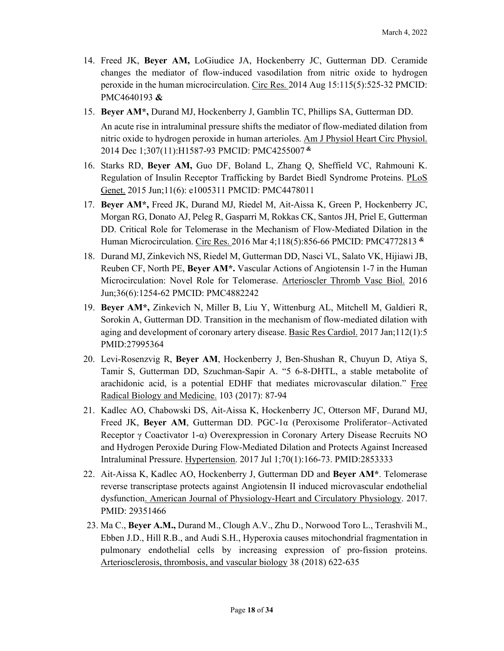- 14. Freed JK, **Beyer AM,** LoGiudice JA, Hockenberry JC, Gutterman DD. Ceramide changes the mediator of flow-induced vasodilation from nitric oxide to hydrogen peroxide in the human microcirculation. Circ Res. 2014 Aug 15:115(5):525-32 PMCID: PMC4640193 **&**
- 15. **Beyer AM\*,** Durand MJ, Hockenberry J, Gamblin TC, Phillips SA, Gutterman DD.

An acute rise in intraluminal pressure shifts the mediator of flow-mediated dilation from nitric oxide to hydrogen peroxide in human arterioles. Am J Physiol Heart Circ Physiol. 2014 Dec 1;307(11):H1587-93 PMCID: PMC4255007 **&**

- 16. Starks RD, **Beyer AM,** Guo DF, Boland L, Zhang Q, Sheffield VC, Rahmouni K. Regulation of Insulin Receptor Trafficking by Bardet Biedl Syndrome Proteins. PLoS Genet. 2015 Jun;11(6): e1005311 PMCID: PMC4478011
- 17. **Beyer AM\*,** Freed JK, Durand MJ, Riedel M, Ait-Aissa K, Green P, Hockenberry JC, Morgan RG, Donato AJ, Peleg R, Gasparri M, Rokkas CK, Santos JH, Priel E, Gutterman DD. Critical Role for Telomerase in the Mechanism of Flow-Mediated Dilation in the Human Microcirculation. Circ Res. 2016 Mar 4;118(5):856-66 PMCID: PMC4772813 **&**
- 18. Durand MJ, Zinkevich NS, Riedel M, Gutterman DD, Nasci VL, Salato VK, Hijiawi JB, Reuben CF, North PE, **Beyer AM\*.** Vascular Actions of Angiotensin 1-7 in the Human Microcirculation: Novel Role for Telomerase. Arterioscler Thromb Vasc Biol. 2016 Jun;36(6):1254-62 PMCID: PMC4882242
- 19. **Beyer AM\*,** Zinkevich N, Miller B, Liu Y, Wittenburg AL, Mitchell M, Galdieri R, Sorokin A, Gutterman DD. Transition in the mechanism of flow-mediated dilation with aging and development of coronary artery disease. Basic Res Cardiol. 2017 Jan;112(1):5 PMID:27995364
- 20. Levi-Rosenzvig R, **Beyer AM**, Hockenberry J, Ben-Shushan R, Chuyun D, Atiya S, Tamir S, Gutterman DD, Szuchman-Sapir A. "5 6-8-DHTL, a stable metabolite of arachidonic acid, is a potential EDHF that mediates microvascular dilation." Free Radical Biology and Medicine. 103 (2017): 87-94
- 21. Kadlec AO, Chabowski DS, Ait-Aissa K, Hockenberry JC, Otterson MF, Durand MJ, Freed JK, **Beyer AM**, Gutterman DD. PGC-1α (Peroxisome Proliferator–Activated Receptor γ Coactivator 1-α) Overexpression in Coronary Artery Disease Recruits NO and Hydrogen Peroxide During Flow-Mediated Dilation and Protects Against Increased Intraluminal Pressure. Hypertension. 2017 Jul 1;70(1):166-73. PMID:2853333
- 22. Ait-Aissa K, Kadlec AO, Hockenberry J, Gutterman DD and **Beyer AM\***. Telomerase reverse transcriptase protects against Angiotensin II induced microvascular endothelial dysfunction. American Journal of Physiology-Heart and Circulatory Physiology. 2017. PMID: 29351466
- 23. Ma C., **Beyer A.M.,** Durand M., Clough A.V., Zhu D., Norwood Toro L., Terashvili M., Ebben J.D., Hill R.B., and Audi S.H., Hyperoxia causes mitochondrial fragmentation in pulmonary endothelial cells by increasing expression of pro-fission proteins. Arteriosclerosis, thrombosis, and vascular biology 38 (2018) 622-635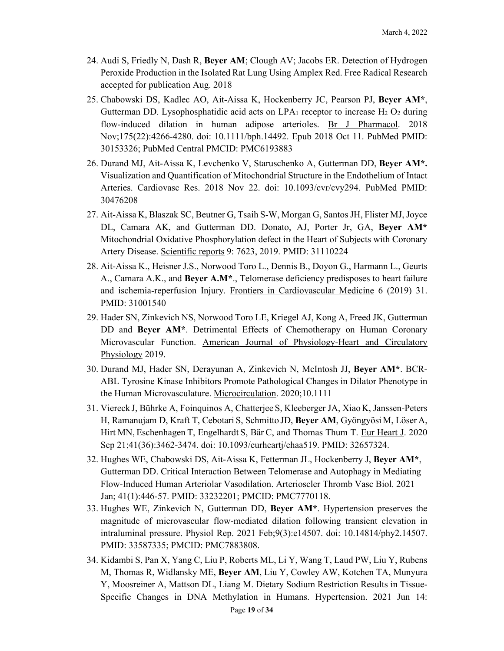- 24. Audi S, Friedly N, Dash R, **Beyer AM**; Clough AV; Jacobs ER. Detection of Hydrogen Peroxide Production in the Isolated Rat Lung Using Amplex Red. Free Radical Research accepted for publication Aug. 2018
- 25. Chabowski DS, Kadlec AO, Ait-Aissa K, Hockenberry JC, Pearson PJ, **Beyer AM\***, Gutterman DD. Lysophosphatidic acid acts on  $LPA_1$  receptor to increase  $H_2$  O<sub>2</sub> during flow-induced dilation in human adipose arterioles. Br J Pharmacol. 2018 Nov;175(22):4266-4280. doi: 10.1111/bph.14492. Epub 2018 Oct 11. PubMed PMID: 30153326; PubMed Central PMCID: PMC6193883
- 26. Durand MJ, Ait-Aissa K, Levchenko V, Staruschenko A, Gutterman DD, **Beyer AM\*.** Visualization and Quantification of Mitochondrial Structure in the Endothelium of Intact Arteries. Cardiovasc Res. 2018 Nov 22. doi: 10.1093/cvr/cvy294. PubMed PMID: 30476208
- 27. Ait-Aissa K, Blaszak SC, Beutner G, Tsaih S-W, Morgan G, Santos JH, Flister MJ, Joyce DL, Camara AK, and Gutterman DD. Donato, AJ, Porter Jr, GA, **Beyer AM\***  Mitochondrial Oxidative Phosphorylation defect in the Heart of Subjects with Coronary Artery Disease. Scientific reports 9: 7623, 2019. PMID: 31110224
- 28. Ait-Aissa K., Heisner J.S., Norwood Toro L., Dennis B., Doyon G., Harmann L., Geurts A., Camara A.K., and **Beyer A.M\***., Telomerase deficiency predisposes to heart failure and ischemia-reperfusion Injury. Frontiers in Cardiovascular Medicine 6 (2019) 31. PMID: 31001540
- 29. Hader SN, Zinkevich NS, Norwood Toro LE, Kriegel AJ, Kong A, Freed JK, Gutterman DD and **Beyer AM\***. Detrimental Effects of Chemotherapy on Human Coronary Microvascular Function. American Journal of Physiology-Heart and Circulatory Physiology 2019.
- 30. Durand MJ, Hader SN, Derayunan A, Zinkevich N, McIntosh JJ, **Beyer AM\***. BCR-ABL Tyrosine Kinase Inhibitors Promote Pathological Changes in Dilator Phenotype in the Human Microvasculature. Microcirculation. 2020;10.1111
- 31. Viereck J, Bührke A, Foinquinos A, Chatterjee S, Kleeberger JA, Xiao K, Janssen-Peters H, Ramanujam D, Kraft T, Cebotari S, Schmitto JD, **Beyer AM**, Gyöngyösi M, Löser A, Hirt MN, Eschenhagen T, Engelhardt S, Bär C, and Thomas Thum T. Eur Heart J. 2020 Sep 21;41(36):3462-3474. doi: 10.1093/eurheartj/ehaa519. PMID: 32657324.
- 32. Hughes WE, Chabowski DS, Ait-Aissa K, Fetterman JL, Hockenberry J, **Beyer AM\***, Gutterman DD. Critical Interaction Between Telomerase and Autophagy in Mediating Flow-Induced Human Arteriolar Vasodilation. Arterioscler Thromb Vasc Biol. 2021 Jan; 41(1):446-57. PMID: 33232201; PMCID: PMC7770118.
- 33. Hughes WE, Zinkevich N, Gutterman DD, **Beyer AM\***. Hypertension preserves the magnitude of microvascular flow-mediated dilation following transient elevation in intraluminal pressure. Physiol Rep. 2021 Feb;9(3):e14507. doi: 10.14814/phy2.14507. PMID: 33587335; PMCID: PMC7883808.
- 34. Kidambi S, Pan X, Yang C, Liu P, Roberts ML, Li Y, Wang T, Laud PW, Liu Y, Rubens M, Thomas R, Widlansky ME, **Beyer AM**, Liu Y, Cowley AW, Kotchen TA, Munyura Y, Moosreiner A, Mattson DL, Liang M. Dietary Sodium Restriction Results in Tissue-Specific Changes in DNA Methylation in Humans. Hypertension. 2021 Jun 14: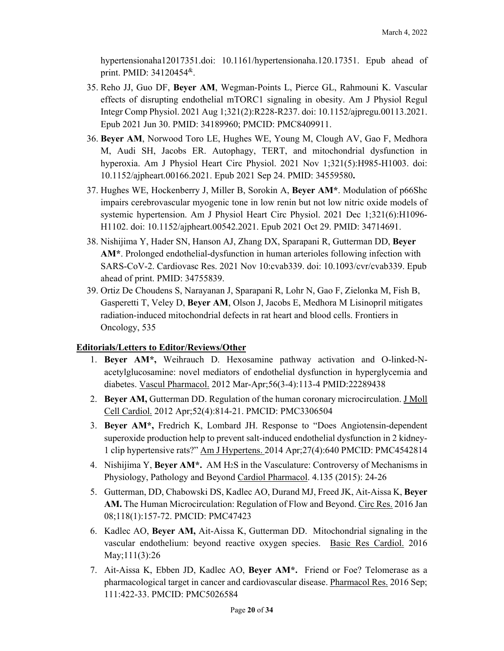hypertensionaha12017351.doi: 10.1161/hypertensionaha.120.17351. Epub ahead of print. PMID: 34120454&.

- 35. Reho JJ, Guo DF, **Beyer AM**, Wegman-Points L, Pierce GL, Rahmouni K. Vascular effects of disrupting endothelial mTORC1 signaling in obesity. Am J Physiol Regul Integr Comp Physiol. 2021 Aug 1;321(2):R228-R237. doi: 10.1152/ajpregu.00113.2021. Epub 2021 Jun 30. PMID: 34189960; PMCID: PMC8409911.
- 36. **Beyer AM**, Norwood Toro LE, Hughes WE, Young M, Clough AV, Gao F, Medhora M, Audi SH, Jacobs ER. Autophagy, TERT, and mitochondrial dysfunction in hyperoxia. Am J Physiol Heart Circ Physiol. 2021 Nov 1;321(5):H985-H1003. doi: 10.1152/ajpheart.00166.2021. Epub 2021 Sep 24. PMID: 34559580**.**
- 37. Hughes WE, Hockenberry J, Miller B, Sorokin A, **Beyer AM\***. Modulation of p66Shc impairs cerebrovascular myogenic tone in low renin but not low nitric oxide models of systemic hypertension. Am J Physiol Heart Circ Physiol. 2021 Dec 1;321(6):H1096- H1102. doi: 10.1152/ajpheart.00542.2021. Epub 2021 Oct 29. PMID: 34714691.
- 38. Nishijima Y, Hader SN, Hanson AJ, Zhang DX, Sparapani R, Gutterman DD, **Beyer AM\***. Prolonged endothelial-dysfunction in human arterioles following infection with SARS-CoV-2. Cardiovasc Res. 2021 Nov 10:cvab339. doi: 10.1093/cvr/cvab339. Epub ahead of print. PMID: 34755839.
- 39. Ortiz De Choudens S, Narayanan J, Sparapani R, Lohr N, Gao F, Zielonka M, Fish B, Gasperetti T, Veley D, **Beyer AM**, Olson J, Jacobs E, Medhora M Lisinopril mitigates radiation-induced mitochondrial defects in rat heart and blood cells. Frontiers in Oncology, 535

## **Editorials/Letters to Editor/Reviews/Other**

- 1. **Beyer AM\*,** Weihrauch D. Hexosamine pathway activation and O-linked-Nacetylglucosamine: novel mediators of endothelial dysfunction in hyperglycemia and diabetes. Vascul Pharmacol. 2012 Mar-Apr;56(3-4):113-4 PMID:22289438
- 2. **Beyer AM,** Gutterman DD. Regulation of the human coronary microcirculation. J Moll Cell Cardiol. 2012 Apr;52(4):814-21. PMCID: PMC3306504
- 3. **Beyer AM\*,** Fredrich K, Lombard JH. Response to "Does Angiotensin-dependent superoxide production help to prevent salt-induced endothelial dysfunction in 2 kidney-1 clip hypertensive rats?" Am J Hypertens. 2014 Apr;27(4):640 PMCID: PMC4542814
- 4. Nishijima Y, **Beyer AM\*.** AM H2S in the Vasculature: Controversy of Mechanisms in Physiology, Pathology and Beyond Cardiol Pharmacol. 4.135 (2015): 24-26
- 5. Gutterman, DD, Chabowski DS, Kadlec AO, Durand MJ, Freed JK, Ait-Aissa K, **Beyer AM.** The Human Microcirculation: Regulation of Flow and Beyond. Circ Res. 2016 Jan 08;118(1):157-72. PMCID: PMC47423
- 6. Kadlec AO, **Beyer AM,** Ait-Aissa K, Gutterman DD. Mitochondrial signaling in the vascular endothelium: beyond reactive oxygen species. Basic Res Cardiol. 2016 May;111(3):26
- 7. Ait-Aissa K, Ebben JD, Kadlec AO, **Beyer AM\*.** Friend or Foe? Telomerase as a pharmacological target in cancer and cardiovascular disease. Pharmacol Res. 2016 Sep; 111:422-33. PMCID: PMC5026584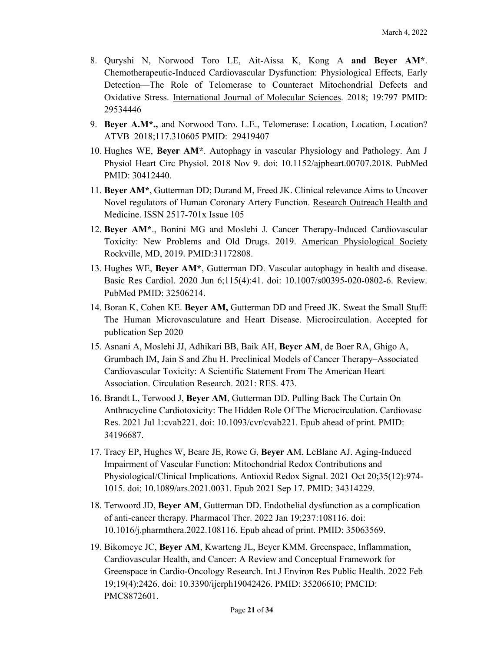- 8. Quryshi N, Norwood Toro LE, Ait-Aissa K, Kong A **and Beyer AM\***. Chemotherapeutic-Induced Cardiovascular Dysfunction: Physiological Effects, Early Detection—The Role of Telomerase to Counteract Mitochondrial Defects and Oxidative Stress. International Journal of Molecular Sciences. 2018; 19:797 PMID: 29534446
- 9. **Beyer A.M\*.,** and Norwood Toro. L.E., Telomerase: Location, Location, Location? ATVB 2018;117.310605 PMID: 29419407
- 10. Hughes WE, **Beyer AM\***. Autophagy in vascular Physiology and Pathology. Am J Physiol Heart Circ Physiol. 2018 Nov 9. doi: 10.1152/ajpheart.00707.2018. PubMed PMID: 30412440.
- 11. **Beyer AM\***, Gutterman DD; Durand M, Freed JK. Clinical relevance Aims to Uncover Novel regulators of Human Coronary Artery Function. Research Outreach Health and Medicine. ISSN 2517-701x Issue 105
- 12. **Beyer AM\***., Bonini MG and Moslehi J. Cancer Therapy-Induced Cardiovascular Toxicity: New Problems and Old Drugs. 2019. American Physiological Society Rockville, MD, 2019. PMID:31172808.
- 13. Hughes WE, **Beyer AM\***, Gutterman DD. Vascular autophagy in health and disease. Basic Res Cardiol. 2020 Jun 6;115(4):41. doi: 10.1007/s00395-020-0802-6. Review. PubMed PMID: 32506214.
- 14. Boran K, Cohen KE. **Beyer AM,** Gutterman DD and Freed JK. Sweat the Small Stuff: The Human Microvasculature and Heart Disease. Microcirculation. Accepted for publication Sep 2020
- 15. Asnani A, Moslehi JJ, Adhikari BB, Baik AH, **Beyer AM**, de Boer RA, Ghigo A, Grumbach IM, Jain S and Zhu H. Preclinical Models of Cancer Therapy–Associated Cardiovascular Toxicity: A Scientific Statement From The American Heart Association. Circulation Research. 2021: RES. 473.
- 16. Brandt L, Terwood J, **Beyer AM**, Gutterman DD. Pulling Back The Curtain On Anthracycline Cardiotoxicity: The Hidden Role Of The Microcirculation. Cardiovasc Res. 2021 Jul 1:cvab221. doi: 10.1093/cvr/cvab221. Epub ahead of print. PMID: 34196687.
- 17. Tracy EP, Hughes W, Beare JE, Rowe G, **Beyer A**M, LeBlanc AJ. Aging-Induced Impairment of Vascular Function: Mitochondrial Redox Contributions and Physiological/Clinical Implications. Antioxid Redox Signal. 2021 Oct 20;35(12):974- 1015. doi: 10.1089/ars.2021.0031. Epub 2021 Sep 17. PMID: 34314229.
- 18. Terwoord JD, **Beyer AM**, Gutterman DD. Endothelial dysfunction as a complication of anti-cancer therapy. Pharmacol Ther. 2022 Jan 19;237:108116. doi: 10.1016/j.pharmthera.2022.108116. Epub ahead of print. PMID: 35063569.
- 19. Bikomeye JC, **Beyer AM**, Kwarteng JL, Beyer KMM. Greenspace, Inflammation, Cardiovascular Health, and Cancer: A Review and Conceptual Framework for Greenspace in Cardio-Oncology Research. Int J Environ Res Public Health. 2022 Feb 19;19(4):2426. doi: 10.3390/ijerph19042426. PMID: 35206610; PMCID: PMC8872601.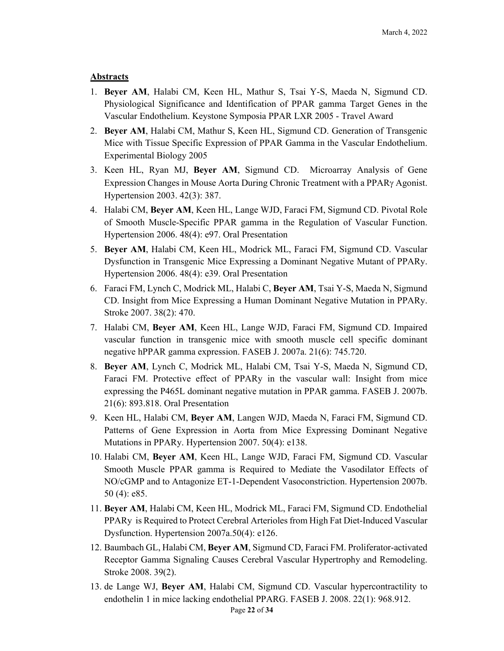#### **Abstracts**

- 1. **Beyer AM**, Halabi CM, Keen HL, Mathur S, Tsai Y-S, Maeda N, Sigmund CD. Physiological Significance and Identification of PPAR gamma Target Genes in the Vascular Endothelium. Keystone Symposia PPAR LXR 2005 - Travel Award
- 2. **Beyer AM**, Halabi CM, Mathur S, Keen HL, Sigmund CD. Generation of Transgenic Mice with Tissue Specific Expression of PPAR Gamma in the Vascular Endothelium. Experimental Biology 2005
- 3. Keen HL, Ryan MJ, **Beyer AM**, Sigmund CD. Microarray Analysis of Gene Expression Changes in Mouse Aorta During Chronic Treatment with a  $PPAR<sub>\gamma</sub>$  Agonist. Hypertension 2003. 42(3): 387.
- 4. Halabi CM, **Beyer AM**, Keen HL, Lange WJD, Faraci FM, Sigmund CD. Pivotal Role of Smooth Muscle-Specific PPAR gamma in the Regulation of Vascular Function. Hypertension 2006. 48(4): e97. Oral Presentation
- 5. **Beyer AM**, Halabi CM, Keen HL, Modrick ML, Faraci FM, Sigmund CD. Vascular Dysfunction in Transgenic Mice Expressing a Dominant Negative Mutant of PPARy. Hypertension 2006. 48(4): e39. Oral Presentation
- 6. Faraci FM, Lynch C, Modrick ML, Halabi C, **Beyer AM**, Tsai Y-S, Maeda N, Sigmund CD. Insight from Mice Expressing a Human Dominant Negative Mutation in PPARy. Stroke 2007. 38(2): 470.
- 7. Halabi CM, **Beyer AM**, Keen HL, Lange WJD, Faraci FM, Sigmund CD. Impaired vascular function in transgenic mice with smooth muscle cell specific dominant negative hPPAR gamma expression. FASEB J. 2007a. 21(6): 745.720.
- 8. **Beyer AM**, Lynch C, Modrick ML, Halabi CM, Tsai Y-S, Maeda N, Sigmund CD, Faraci FM. Protective effect of PPARy in the vascular wall: Insight from mice expressing the P465L dominant negative mutation in PPAR gamma. FASEB J. 2007b. 21(6): 893.818. Oral Presentation
- 9. Keen HL, Halabi CM, **Beyer AM**, Langen WJD, Maeda N, Faraci FM, Sigmund CD. Patterns of Gene Expression in Aorta from Mice Expressing Dominant Negative Mutations in PPARy. Hypertension 2007. 50(4): e138.
- 10. Halabi CM, **Beyer AM**, Keen HL, Lange WJD, Faraci FM, Sigmund CD. Vascular Smooth Muscle PPAR gamma is Required to Mediate the Vasodilator Effects of NO/cGMP and to Antagonize ET-1-Dependent Vasoconstriction. Hypertension 2007b. 50 (4): e85.
- 11. **Beyer AM**, Halabi CM, Keen HL, Modrick ML, Faraci FM, Sigmund CD. Endothelial PPARy is Required to Protect Cerebral Arterioles from High Fat Diet-Induced Vascular Dysfunction. Hypertension 2007a.50(4): e126.
- 12. Baumbach GL, Halabi CM, **Beyer AM**, Sigmund CD, Faraci FM. Proliferator-activated Receptor Gamma Signaling Causes Cerebral Vascular Hypertrophy and Remodeling. Stroke 2008. 39(2).
- 13. de Lange WJ, **Beyer AM**, Halabi CM, Sigmund CD. Vascular hypercontractility to endothelin 1 in mice lacking endothelial PPARG. FASEB J. 2008. 22(1): 968.912.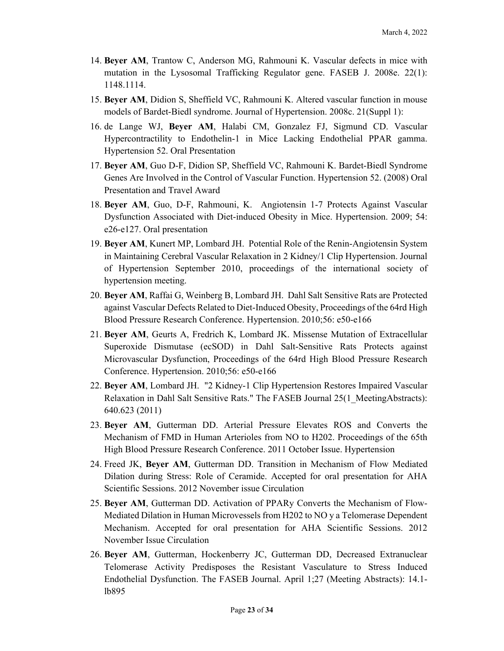- 14. **Beyer AM**, Trantow C, Anderson MG, Rahmouni K. Vascular defects in mice with mutation in the Lysosomal Trafficking Regulator gene. FASEB J. 2008e. 22(1): 1148.1114.
- 15. **Beyer AM**, Didion S, Sheffield VC, Rahmouni K. Altered vascular function in mouse models of Bardet-Biedl syndrome. Journal of Hypertension. 2008c. 21(Suppl 1):
- 16. de Lange WJ, **Beyer AM**, Halabi CM, Gonzalez FJ, Sigmund CD. Vascular Hypercontractility to Endothelin-1 in Mice Lacking Endothelial PPAR gamma. Hypertension 52. Oral Presentation
- 17. **Beyer AM**, Guo D-F, Didion SP, Sheffield VC, Rahmouni K. Bardet-Biedl Syndrome Genes Are Involved in the Control of Vascular Function. Hypertension 52. (2008) Oral Presentation and Travel Award
- 18. **Beyer AM**, Guo, D-F, Rahmouni, K. Angiotensin 1-7 Protects Against Vascular Dysfunction Associated with Diet-induced Obesity in Mice. Hypertension. 2009; 54: e26-e127. Oral presentation
- 19. **Beyer AM**, Kunert MP, Lombard JH. Potential Role of the Renin-Angiotensin System in Maintaining Cerebral Vascular Relaxation in 2 Kidney/1 Clip Hypertension. Journal of Hypertension September 2010, proceedings of the international society of hypertension meeting.
- 20. **Beyer AM**, Raffai G, Weinberg B, Lombard JH. Dahl Salt Sensitive Rats are Protected against Vascular Defects Related to Diet-Induced Obesity, Proceedings of the 64rd High Blood Pressure Research Conference. Hypertension. 2010;56: e50-e166
- 21. **Beyer AM**, Geurts A, Fredrich K, Lombard JK. Missense Mutation of Extracellular Superoxide Dismutase (ecSOD) in Dahl Salt-Sensitive Rats Protects against Microvascular Dysfunction, Proceedings of the 64rd High Blood Pressure Research Conference. Hypertension. 2010;56: e50-e166
- 22. **Beyer AM**, Lombard JH. "2 Kidney-1 Clip Hypertension Restores Impaired Vascular Relaxation in Dahl Salt Sensitive Rats." The FASEB Journal 25(1\_MeetingAbstracts): 640.623 (2011)
- 23. **Beyer AM**, Gutterman DD. Arterial Pressure Elevates ROS and Converts the Mechanism of FMD in Human Arterioles from NO to H202. Proceedings of the 65th High Blood Pressure Research Conference. 2011 October Issue. Hypertension
- 24. Freed JK, **Beyer AM**, Gutterman DD. Transition in Mechanism of Flow Mediated Dilation during Stress: Role of Ceramide. Accepted for oral presentation for AHA Scientific Sessions. 2012 November issue Circulation
- 25. **Beyer AM**, Gutterman DD. Activation of PPARy Converts the Mechanism of Flow-Mediated Dilation in Human Microvessels from H202 to NO y a Telomerase Dependent Mechanism. Accepted for oral presentation for AHA Scientific Sessions. 2012 November Issue Circulation
- 26. **Beyer AM**, Gutterman, Hockenberry JC, Gutterman DD, Decreased Extranuclear Telomerase Activity Predisposes the Resistant Vasculature to Stress Induced Endothelial Dysfunction. The FASEB Journal. April 1;27 (Meeting Abstracts): 14.1 lb895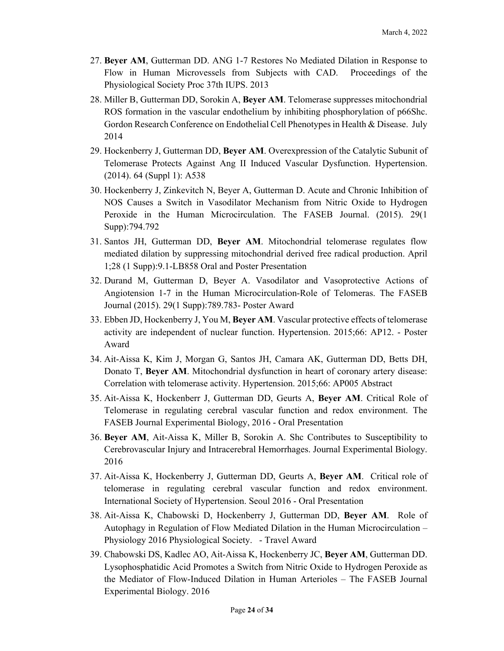- 27. **Beyer AM**, Gutterman DD. ANG 1-7 Restores No Mediated Dilation in Response to Flow in Human Microvessels from Subjects with CAD. Proceedings of the Physiological Society Proc 37th IUPS. 2013
- 28. Miller B, Gutterman DD, Sorokin A, **Beyer AM**. Telomerase suppresses mitochondrial ROS formation in the vascular endothelium by inhibiting phosphorylation of p66Shc. Gordon Research Conference on Endothelial Cell Phenotypes in Health & Disease. July 2014
- 29. Hockenberry J, Gutterman DD, **Beyer AM**. Overexpression of the Catalytic Subunit of Telomerase Protects Against Ang II Induced Vascular Dysfunction. Hypertension. (2014). 64 (Suppl 1): A538
- 30. Hockenberry J, Zinkevitch N, Beyer A, Gutterman D. Acute and Chronic Inhibition of NOS Causes a Switch in Vasodilator Mechanism from Nitric Oxide to Hydrogen Peroxide in the Human Microcirculation. The FASEB Journal. (2015). 29(1 Supp):794.792
- 31. Santos JH, Gutterman DD, **Beyer AM**. Mitochondrial telomerase regulates flow mediated dilation by suppressing mitochondrial derived free radical production. April 1;28 (1 Supp):9.1-LB858 Oral and Poster Presentation
- 32. Durand M, Gutterman D, Beyer A. Vasodilator and Vasoprotective Actions of Angiotension 1-7 in the Human Microcirculation-Role of Telomeras. The FASEB Journal (2015). 29(1 Supp):789.783- Poster Award
- 33. Ebben JD, Hockenberry J, You M, **Beyer AM**. Vascular protective effects of telomerase activity are independent of nuclear function. Hypertension. 2015;66: AP12. - Poster Award
- 34. Ait-Aissa K, Kim J, Morgan G, Santos JH, Camara AK, Gutterman DD, Betts DH, Donato T, **Beyer AM**. Mitochondrial dysfunction in heart of coronary artery disease: Correlation with telomerase activity. Hypertension. 2015;66: AP005 Abstract
- 35. Ait-Aissa K, Hockenberr J, Gutterman DD, Geurts A, **Beyer AM**. Critical Role of Telomerase in regulating cerebral vascular function and redox environment. The FASEB Journal Experimental Biology, 2016 - Oral Presentation
- 36. **Beyer AM**, Ait-Aissa K, Miller B, Sorokin A. Shc Contributes to Susceptibility to Cerebrovascular Injury and Intracerebral Hemorrhages. Journal Experimental Biology. 2016
- 37. Ait-Aissa K, Hockenberry J, Gutterman DD, Geurts A, **Beyer AM**. Critical role of telomerase in regulating cerebral vascular function and redox environment. International Society of Hypertension. Seoul 2016 - Oral Presentation
- 38. Ait-Aissa K, Chabowski D, Hockenberry J, Gutterman DD, **Beyer AM**. Role of Autophagy in Regulation of Flow Mediated Dilation in the Human Microcirculation – Physiology 2016 Physiological Society. - Travel Award
- 39. Chabowski DS, Kadlec AO, Ait-Aissa K, Hockenberry JC, **Beyer AM**, Gutterman DD. Lysophosphatidic Acid Promotes a Switch from Nitric Oxide to Hydrogen Peroxide as the Mediator of Flow-Induced Dilation in Human Arterioles – The FASEB Journal Experimental Biology. 2016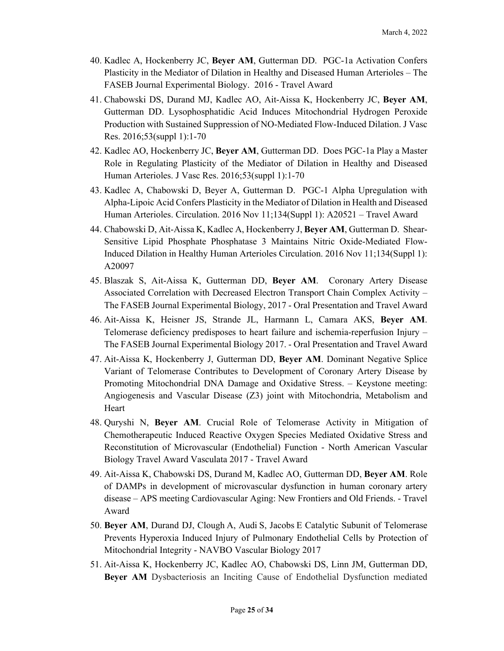- 40. Kadlec A, Hockenberry JC, **Beyer AM**, Gutterman DD. PGC-1a Activation Confers Plasticity in the Mediator of Dilation in Healthy and Diseased Human Arterioles – The FASEB Journal Experimental Biology. 2016 - Travel Award
- 41. Chabowski DS, Durand MJ, Kadlec AO, Ait-Aissa K, Hockenberry JC, **Beyer AM**, Gutterman DD. Lysophosphatidic Acid Induces Mitochondrial Hydrogen Peroxide Production with Sustained Suppression of NO-Mediated Flow-Induced Dilation. J Vasc Res. 2016;53(suppl 1):1-70
- 42. Kadlec AO, Hockenberry JC, **Beyer AM**, Gutterman DD. Does PGC-1a Play a Master Role in Regulating Plasticity of the Mediator of Dilation in Healthy and Diseased Human Arterioles. J Vasc Res. 2016;53(suppl 1):1-70
- 43. Kadlec A, Chabowski D, Beyer A, Gutterman D. PGC-1 Alpha Upregulation with Alpha-Lipoic Acid Confers Plasticity in the Mediator of Dilation in Health and Diseased Human Arterioles. Circulation. 2016 Nov 11;134(Suppl 1): A20521 – Travel Award
- 44. Chabowski D, Ait-Aissa K, Kadlec A, Hockenberry J, **Beyer AM**, Gutterman D. Shear-Sensitive Lipid Phosphate Phosphatase 3 Maintains Nitric Oxide-Mediated Flow-Induced Dilation in Healthy Human Arterioles Circulation. 2016 Nov 11;134(Suppl 1): A20097
- 45. Blaszak S, Ait-Aissa K, Gutterman DD, **Beyer AM**. Coronary Artery Disease Associated Correlation with Decreased Electron Transport Chain Complex Activity – The FASEB Journal Experimental Biology, 2017 - Oral Presentation and Travel Award
- 46. Ait-Aissa K, Heisner JS, Strande JL, Harmann L, Camara AKS, **Beyer AM**. Telomerase deficiency predisposes to heart failure and ischemia-reperfusion Injury – The FASEB Journal Experimental Biology 2017. - Oral Presentation and Travel Award
- 47. Ait-Aissa K, Hockenberry J, Gutterman DD, **Beyer AM**. Dominant Negative Splice Variant of Telomerase Contributes to Development of Coronary Artery Disease by Promoting Mitochondrial DNA Damage and Oxidative Stress. – Keystone meeting: Angiogenesis and Vascular Disease (Z3) joint with Mitochondria, Metabolism and Heart
- 48. Quryshi N, **Beyer AM**. Crucial Role of Telomerase Activity in Mitigation of Chemotherapeutic Induced Reactive Oxygen Species Mediated Oxidative Stress and Reconstitution of Microvascular (Endothelial) Function - North American Vascular Biology Travel Award Vasculata 2017 - Travel Award
- 49. Ait-Aissa K, Chabowski DS, Durand M, Kadlec AO, Gutterman DD, **Beyer AM**. Role of DAMPs in development of microvascular dysfunction in human coronary artery disease – APS meeting Cardiovascular Aging: New Frontiers and Old Friends. - Travel Award
- 50. **Beyer AM**, Durand DJ, Clough A, Audi S, Jacobs E Catalytic Subunit of Telomerase Prevents Hyperoxia Induced Injury of Pulmonary Endothelial Cells by Protection of Mitochondrial Integrity - NAVBO Vascular Biology 2017
- 51. Ait-Aissa K, Hockenberry JC, Kadlec AO, Chabowski DS, Linn JM, Gutterman DD, **Beyer AM** Dysbacteriosis an Inciting Cause of Endothelial Dysfunction mediated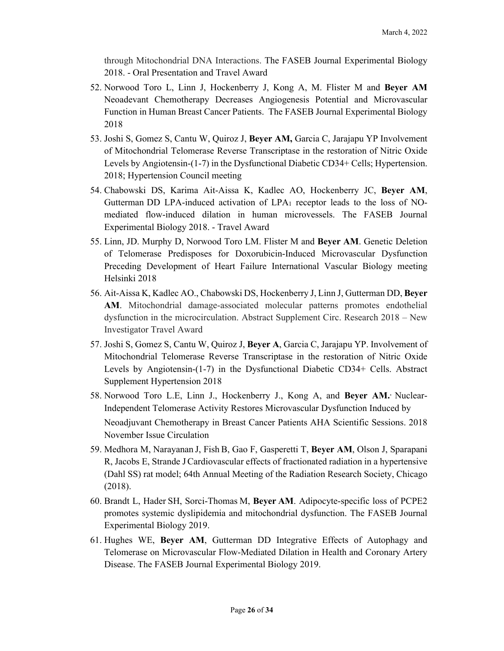through Mitochondrial DNA Interactions. The FASEB Journal Experimental Biology 2018. - Oral Presentation and Travel Award

- 52. Norwood Toro L, Linn J, Hockenberry J, Kong A, M. Flister M and **Beyer AM**  Neoadevant Chemotherapy Decreases Angiogenesis Potential and Microvascular Function in Human Breast Cancer Patients. The FASEB Journal Experimental Biology 2018
- 53. Joshi S, Gomez S, Cantu W, Quiroz J, **Beyer AM,** Garcia C, Jarajapu YP Involvement of Mitochondrial Telomerase Reverse Transcriptase in the restoration of Nitric Oxide Levels by Angiotensin-(1-7) in the Dysfunctional Diabetic CD34+ Cells; Hypertension. 2018; Hypertension Council meeting
- 54. Chabowski DS, Karima Ait-Aissa K, Kadlec AO, Hockenberry JC, **Beyer AM**, Gutterman DD LPA-induced activation of LPA1 receptor leads to the loss of NOmediated flow-induced dilation in human microvessels. The FASEB Journal Experimental Biology 2018. - Travel Award
- 55. Linn, JD. Murphy D, Norwood Toro LM. Flister M and **Beyer AM**. Genetic Deletion of Telomerase Predisposes for Doxorubicin-Induced Microvascular Dysfunction Preceding Development of Heart Failure International Vascular Biology meeting Helsinki 2018
- 56. Ait-Aissa K, Kadlec AO., Chabowski DS, Hockenberry J, Linn J, Gutterman DD, **Beyer AM**. Mitochondrial damage-associated molecular patterns promotes endothelial dysfunction in the microcirculation. Abstract Supplement Circ. Research 2018 – New Investigator Travel Award
- 57. Joshi S, Gomez S, Cantu W, Quiroz J, **Beyer A**, Garcia C, Jarajapu YP. Involvement of Mitochondrial Telomerase Reverse Transcriptase in the restoration of Nitric Oxide Levels by Angiotensin-(1-7) in the Dysfunctional Diabetic CD34+ Cells. Abstract Supplement Hypertension 2018
- 58. Norwood Toro L.E, Linn J., Hockenberry J., Kong A, and **Beyer AM..** Nuclear-Independent Telomerase Activity Restores Microvascular Dysfunction Induced by Neoadjuvant Chemotherapy in Breast Cancer Patients AHA Scientific Sessions. 2018 November Issue Circulation
- 59. Medhora M, Narayanan J, Fish B, Gao F, Gasperetti T, **Beyer AM**, Olson J, Sparapani R, Jacobs E, Strande JCardiovascular effects of fractionated radiation in a hypertensive (Dahl SS) rat model; 64th Annual Meeting of the Radiation Research Society, Chicago (2018).
- 60. Brandt L, Hader SH, Sorci-Thomas M, **Beyer AM**. Adipocyte-specific loss of PCPE2 promotes systemic dyslipidemia and mitochondrial dysfunction. The FASEB Journal Experimental Biology 2019.
- 61. Hughes WE, **Beyer AM**, Gutterman DD Integrative Effects of Autophagy and Telomerase on Microvascular Flow-Mediated Dilation in Health and Coronary Artery Disease. The FASEB Journal Experimental Biology 2019.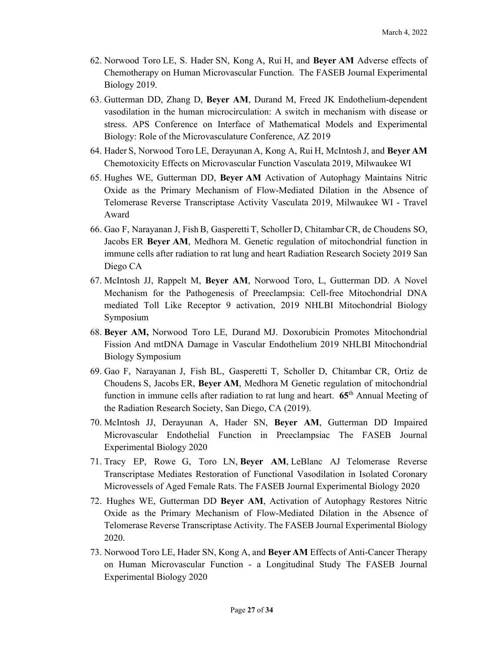- 62. Norwood Toro LE, S. Hader SN, Kong A, Rui H, and **Beyer AM** Adverse effects of Chemotherapy on Human Microvascular Function. The FASEB Journal Experimental Biology 2019.
- 63. Gutterman DD, Zhang D, **Beyer AM**, Durand M, Freed JK Endothelium-dependent vasodilation in the human microcirculation: A switch in mechanism with disease or stress. APS Conference on Interface of Mathematical Models and Experimental Biology: Role of the Microvasculature Conference, AZ 2019
- 64. Hader S, Norwood Toro LE, Derayunan A, Kong A, Rui H, McIntosh J, and **Beyer AM**  Chemotoxicity Effects on Microvascular Function Vasculata 2019, Milwaukee WI
- 65. Hughes WE, Gutterman DD, **Beyer AM** Activation of Autophagy Maintains Nitric Oxide as the Primary Mechanism of Flow-Mediated Dilation in the Absence of Telomerase Reverse Transcriptase Activity Vasculata 2019, Milwaukee WI - Travel Award
- 66. Gao F, Narayanan J, FishB, Gasperetti T, Scholler D, ChitambarCR, de Choudens SO, Jacobs ER **Beyer AM**, Medhora M. Genetic regulation of mitochondrial function in immune cells after radiation to rat lung and heart Radiation Research Society 2019 San Diego CA
- 67. McIntosh JJ, Rappelt M, **Beyer AM**, Norwood Toro, L, Gutterman DD. A Novel Mechanism for the Pathogenesis of Preeclampsia: Cell-free Mitochondrial DNA mediated Toll Like Receptor 9 activation, 2019 NHLBI Mitochondrial Biology Symposium
- 68. **Beyer AM,** Norwood Toro LE, Durand MJ. Doxorubicin Promotes Mitochondrial Fission And mtDNA Damage in Vascular Endothelium 2019 NHLBI Mitochondrial Biology Symposium
- 69. Gao F, Narayanan J, Fish BL, Gasperetti T, Scholler D, Chitambar CR, Ortiz de Choudens S, Jacobs ER, **Beyer AM**, Medhora M Genetic regulation of mitochondrial function in immune cells after radiation to rat lung and heart. **65**th Annual Meeting of the Radiation Research Society, San Diego, CA (2019).
- 70. McIntosh JJ, Derayunan A, Hader SN, **Beyer AM**, Gutterman DD Impaired Microvascular Endothelial Function in Preeclampsiac The FASEB Journal Experimental Biology 2020
- 71. Tracy EP, Rowe G, Toro LN, **Beyer AM**, LeBlanc AJ Telomerase Reverse Transcriptase Mediates Restoration of Functional Vasodilation in Isolated Coronary Microvessels of Aged Female Rats. The FASEB Journal Experimental Biology 2020
- 72. Hughes WE, Gutterman DD **Beyer AM**, Activation of Autophagy Restores Nitric Oxide as the Primary Mechanism of Flow-Mediated Dilation in the Absence of Telomerase Reverse Transcriptase Activity. The FASEB Journal Experimental Biology 2020.
- 73. Norwood Toro LE, Hader SN, Kong A, and **Beyer AM** Effects of Anti-Cancer Therapy on Human Microvascular Function - a Longitudinal Study The FASEB Journal Experimental Biology 2020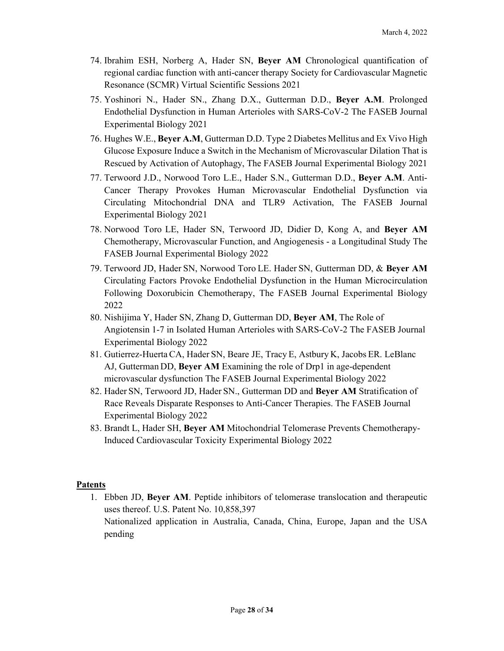- 74. Ibrahim ESH, Norberg A, Hader SN, **Beyer AM** Chronological quantification of regional cardiac function with anti-cancer therapy Society for Cardiovascular Magnetic Resonance (SCMR) Virtual Scientific Sessions 2021
- 75. Yoshinori N., Hader SN., Zhang D.X., Gutterman D.D., **Beyer A.M**. Prolonged Endothelial Dysfunction in Human Arterioles with SARS-CoV-2 The FASEB Journal Experimental Biology 2021
- 76. Hughes W.E., **Beyer A.M**, Gutterman D.D. Type 2 Diabetes Mellitus and Ex Vivo High Glucose Exposure Induce a Switch in the Mechanism of Microvascular Dilation That is Rescued by Activation of Autophagy, The FASEB Journal Experimental Biology 2021
- 77. Terwoord J.D., Norwood Toro L.E., Hader S.N., Gutterman D.D., **Beyer A.M**. Anti-Cancer Therapy Provokes Human Microvascular Endothelial Dysfunction via Circulating Mitochondrial DNA and TLR9 Activation, The FASEB Journal Experimental Biology 2021
- 78. Norwood Toro LE, Hader SN, Terwoord JD, Didier D, Kong A, and **Beyer AM**  Chemotherapy, Microvascular Function, and Angiogenesis - a Longitudinal Study The FASEB Journal Experimental Biology 2022
- 79. Terwoord JD, Hader SN, Norwood Toro LE. Hader SN, Gutterman DD, & **Beyer AM** Circulating Factors Provoke Endothelial Dysfunction in the Human Microcirculation Following Doxorubicin Chemotherapy, The FASEB Journal Experimental Biology 2022
- 80. Nishijima Y, Hader SN, Zhang D, Gutterman DD, **Beyer AM**, The Role of Angiotensin 1-7 in Isolated Human Arterioles with SARS-CoV-2 The FASEB Journal Experimental Biology 2022
- 81. Gutierrez-HuertaCA, Hader SN, Beare JE, Tracy E, Astbury K, Jacobs ER. LeBlanc AJ, Gutterman DD, **Beyer AM** Examining the role of Drp1 in age-dependent microvascular dysfunction The FASEB Journal Experimental Biology 2022
- 82. Hader SN, Terwoord JD, Hader SN., Gutterman DD and **Beyer AM** Stratification of Race Reveals Disparate Responses to Anti-Cancer Therapies. The FASEB Journal Experimental Biology 2022
- 83. Brandt L, Hader SH, **Beyer AM** Mitochondrial Telomerase Prevents Chemotherapy-Induced Cardiovascular Toxicity Experimental Biology 2022

#### **Patents**

1. Ebben JD, **Beyer AM**. Peptide inhibitors of telomerase translocation and therapeutic uses thereof. U.S. Patent No. 10,858,397 Nationalized application in Australia, Canada, China, Europe, Japan and the USA pending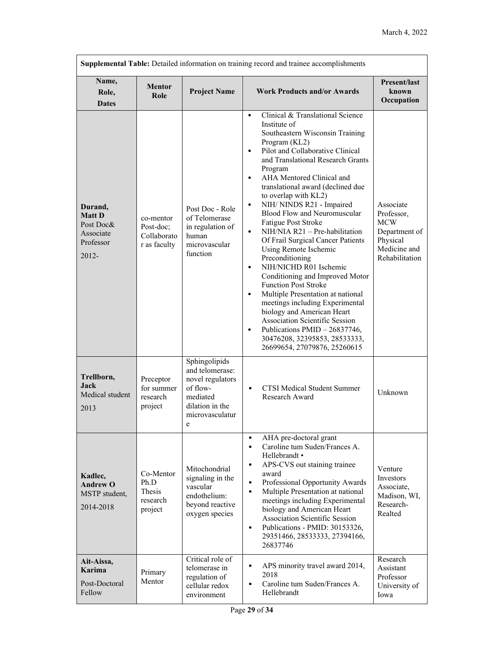| Supplemental Table: Detailed information on training record and trainee accomplishments |                                                       |                                                                                                                    |                                                                                                                                                                                                                                                                                                                                                                                                                                                                                                                                                                                                                                                                                                                                                                                                                                                                                                                                                  |                                                                                                      |  |
|-----------------------------------------------------------------------------------------|-------------------------------------------------------|--------------------------------------------------------------------------------------------------------------------|--------------------------------------------------------------------------------------------------------------------------------------------------------------------------------------------------------------------------------------------------------------------------------------------------------------------------------------------------------------------------------------------------------------------------------------------------------------------------------------------------------------------------------------------------------------------------------------------------------------------------------------------------------------------------------------------------------------------------------------------------------------------------------------------------------------------------------------------------------------------------------------------------------------------------------------------------|------------------------------------------------------------------------------------------------------|--|
| Name,<br>Role,<br><b>Dates</b>                                                          | <b>Mentor</b><br>Role                                 | <b>Project Name</b>                                                                                                | <b>Work Products and/or Awards</b>                                                                                                                                                                                                                                                                                                                                                                                                                                                                                                                                                                                                                                                                                                                                                                                                                                                                                                               | <b>Present/last</b><br>known<br>Occupation                                                           |  |
| Durand,<br><b>Matt D</b><br>Post Doc&<br>Associate<br>Professor<br>2012-                | co-mentor<br>Post-doc;<br>Collaborato<br>r as faculty | Post Doc - Role<br>of Telomerase<br>in regulation of<br>human<br>microvascular<br>function                         | Clinical & Translational Science<br>$\bullet$<br>Institute of<br>Southeastern Wisconsin Training<br>Program (KL2)<br>Pilot and Collaborative Clinical<br>$\bullet$<br>and Translational Research Grants<br>Program<br>AHA Mentored Clinical and<br>$\bullet$<br>translational award (declined due<br>to overlap with KL2)<br>NIH/ NINDS R21 - Impaired<br>$\bullet$<br>Blood Flow and Neuromuscular<br>Fatigue Post Stroke<br>$\bullet$<br>$NIH/NIA R21 - Pre-habilitation$<br>Of Frail Surgical Cancer Patients<br>Using Remote Ischemic<br>Preconditioning<br>NIH/NICHD R01 Ischemic<br>$\bullet$<br>Conditioning and Improved Motor<br><b>Function Post Stroke</b><br>Multiple Presentation at national<br>$\bullet$<br>meetings including Experimental<br>biology and American Heart<br><b>Association Scientific Session</b><br>Publications PMID - 26837746,<br>$\bullet$<br>30476208, 32395853, 28533333,<br>26699654, 27079876, 25260615 | Associate<br>Professor,<br><b>MCW</b><br>Department of<br>Physical<br>Medicine and<br>Rehabilitation |  |
| Trellborn,<br><b>Jack</b><br>Medical student<br>2013                                    | Preceptor<br>for summer<br>research<br>project        | Sphingolipids<br>and telomerase:<br>novel regulators<br>of flow-<br>mediated<br>dilation in the<br>microvasculatur | <b>CTSI Medical Student Summer</b><br>$\bullet$<br>Research Award                                                                                                                                                                                                                                                                                                                                                                                                                                                                                                                                                                                                                                                                                                                                                                                                                                                                                | Unknown                                                                                              |  |
| Kadlec,<br><b>Andrew O</b><br>MSTP student,<br>2014-2018                                | Co-Mentor<br>Ph.D<br>Thesis<br>research<br>project    | Mitochondrial<br>signaling in the<br>vascular<br>endothelium:<br>beyond reactive<br>oxygen species                 | AHA pre-doctoral grant<br>$\bullet$<br>Caroline tum Suden/Frances A.<br>$\bullet$<br>Hellebrandt •<br>APS-CVS out staining trainee<br>$\bullet$<br>award<br>Professional Opportunity Awards<br>$\bullet$<br>Multiple Presentation at national<br>$\bullet$<br>meetings including Experimental<br>biology and American Heart<br>Association Scientific Session<br>Publications - PMID: 30153326,<br>$\bullet$<br>29351466, 28533333, 27394166,<br>26837746                                                                                                                                                                                                                                                                                                                                                                                                                                                                                        | Venture<br>Investors<br>Associate.<br>Madison, WI,<br>Research-<br>Realted                           |  |
| Ait-Aissa,<br><b>Karima</b><br>Post-Doctoral<br>Fellow                                  | Primary<br>Mentor                                     | Critical role of<br>telomerase in<br>regulation of<br>cellular redox<br>environment                                | APS minority travel award 2014,<br>$\bullet$<br>2018<br>Caroline tum Suden/Frances A.<br>$\bullet$<br>Hellebrandt                                                                                                                                                                                                                                                                                                                                                                                                                                                                                                                                                                                                                                                                                                                                                                                                                                | Research<br>Assistant<br>Professor<br>University of<br>Iowa                                          |  |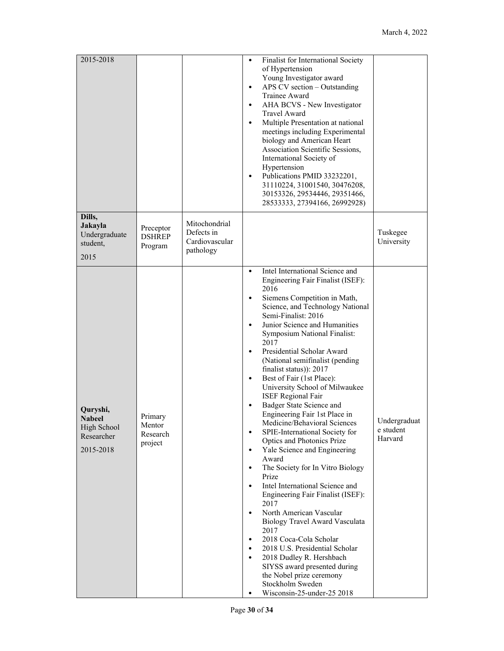| 2015-2018                                                           |                                          |                                                            | Finalist for International Society<br>٠<br>of Hypertension<br>Young Investigator award<br>APS CV section - Outstanding<br>$\bullet$<br>Trainee Award<br>AHA BCVS - New Investigator<br>$\bullet$<br>Travel Award<br>Multiple Presentation at national<br>$\bullet$<br>meetings including Experimental<br>biology and American Heart<br>Association Scientific Sessions,<br>International Society of<br>Hypertension<br>Publications PMID 33232201,<br>$\bullet$<br>31110224, 31001540, 30476208,<br>30153326, 29534446, 29351466,<br>28533333, 27394166, 26992928)                                                                                                                                                                                                                                                                                                                                                                                                                                                                                                                                                                                                                                                                                                            |
|---------------------------------------------------------------------|------------------------------------------|------------------------------------------------------------|-------------------------------------------------------------------------------------------------------------------------------------------------------------------------------------------------------------------------------------------------------------------------------------------------------------------------------------------------------------------------------------------------------------------------------------------------------------------------------------------------------------------------------------------------------------------------------------------------------------------------------------------------------------------------------------------------------------------------------------------------------------------------------------------------------------------------------------------------------------------------------------------------------------------------------------------------------------------------------------------------------------------------------------------------------------------------------------------------------------------------------------------------------------------------------------------------------------------------------------------------------------------------------|
| Dills,<br>Jakayla<br>Undergraduate<br>student,<br>2015              | Preceptor<br><b>DSHREP</b><br>Program    | Mitochondrial<br>Defects in<br>Cardiovascular<br>pathology | Tuskegee<br>University                                                                                                                                                                                                                                                                                                                                                                                                                                                                                                                                                                                                                                                                                                                                                                                                                                                                                                                                                                                                                                                                                                                                                                                                                                                        |
| Quryshi,<br><b>Nabeel</b><br>High School<br>Researcher<br>2015-2018 | Primary<br>Mentor<br>Research<br>project |                                                            | Intel International Science and<br>$\bullet$<br>Engineering Fair Finalist (ISEF):<br>2016<br>Siemens Competition in Math,<br>$\bullet$<br>Science, and Technology National<br>Semi-Finalist: 2016<br>Junior Science and Humanities<br>$\bullet$<br>Symposium National Finalist:<br>2017<br>Presidential Scholar Award<br>$\bullet$<br>(National semifinalist (pending)<br>finalist status)): 2017<br>Best of Fair (1st Place):<br>$\bullet$<br>University School of Milwaukee<br><b>ISEF Regional Fair</b><br>Badger State Science and<br>$\bullet$<br>Engineering Fair 1st Place in<br>Undergraduat<br>Medicine/Behavioral Sciences<br>e student<br>SPIE-International Society for<br>Harvard<br>Optics and Photonics Prize<br>Yale Science and Engineering<br>$\bullet$<br>Award<br>The Society for In Vitro Biology<br>$\bullet$<br>Prize<br>Intel International Science and<br>$\bullet$<br>Engineering Fair Finalist (ISEF):<br>2017<br>North American Vascular<br>$\bullet$<br>Biology Travel Award Vasculata<br>2017<br>2018 Coca-Cola Scholar<br>$\bullet$<br>2018 U.S. Presidential Scholar<br>$\bullet$<br>2018 Dudley R. Hershbach<br>$\bullet$<br>SIYSS award presented during<br>the Nobel prize ceremony<br>Stockholm Sweden<br>Wisconsin-25-under-25 2018<br>٠ |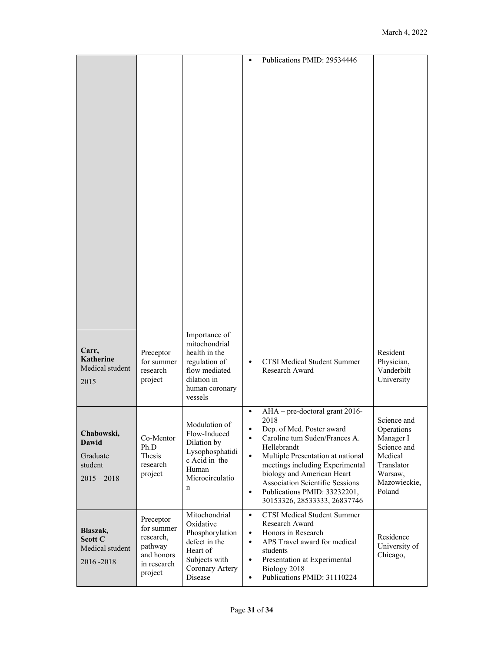|                                                                    |                                                                                         |                                                                                                                               | Publications PMID: 29534446<br>$\bullet$                                                                                                                                                                                                                                                                                                                                                             |                                                                                                                     |
|--------------------------------------------------------------------|-----------------------------------------------------------------------------------------|-------------------------------------------------------------------------------------------------------------------------------|------------------------------------------------------------------------------------------------------------------------------------------------------------------------------------------------------------------------------------------------------------------------------------------------------------------------------------------------------------------------------------------------------|---------------------------------------------------------------------------------------------------------------------|
| Carr,<br><b>Katherine</b><br>Medical student<br>2015               | Preceptor<br>for summer<br>research<br>project                                          | Importance of<br>mitochondrial<br>health in the<br>regulation of<br>flow mediated<br>dilation in<br>human coronary<br>vessels | <b>CTSI Medical Student Summer</b><br>٠<br>Research Award                                                                                                                                                                                                                                                                                                                                            | Resident<br>Physician,<br>Vanderbilt<br>University                                                                  |
| Chabowski,<br><b>Dawid</b><br>Graduate<br>student<br>$2015 - 2018$ | Co-Mentor<br>Ph.D<br>Thesis<br>research<br>project                                      | Modulation of<br>Flow-Induced<br>Dilation by<br>Lysophosphatidi<br>c Acid in the<br>Human<br>Microcirculatio<br>$\mathbf n$   | AHA - pre-doctoral grant 2016-<br>$\bullet$<br>2018<br>Dep. of Med. Poster award<br>$\bullet$<br>Caroline tum Suden/Frances A.<br>$\bullet$<br>Hellebrandt<br>Multiple Presentation at national<br>$\bullet$<br>meetings including Experimental<br>biology and American Heart<br><b>Association Scientific Sessions</b><br>Publications PMID: 33232201,<br>$\bullet$<br>30153326, 28533333, 26837746 | Science and<br>Operations<br>Manager I<br>Science and<br>Medical<br>Translator<br>Warsaw,<br>Mazowieckie,<br>Poland |
| Blaszak,<br>Scott C<br>Medical student<br>2016 - 2018              | Preceptor<br>for summer<br>research,<br>pathway<br>and honors<br>in research<br>project | Mitochondrial<br>Oxidative<br>Phosphorylation<br>defect in the<br>Heart of<br>Subjects with<br>Coronary Artery<br>Disease     | <b>CTSI Medical Student Summer</b><br>$\bullet$<br>Research Award<br>Honors in Research<br>$\bullet$<br>APS Travel award for medical<br>$\bullet$<br>students<br>Presentation at Experimental<br>$\bullet$<br>Biology 2018<br>Publications PMID: 31110224<br>$\bullet$                                                                                                                               | Residence<br>University of<br>Chicago,                                                                              |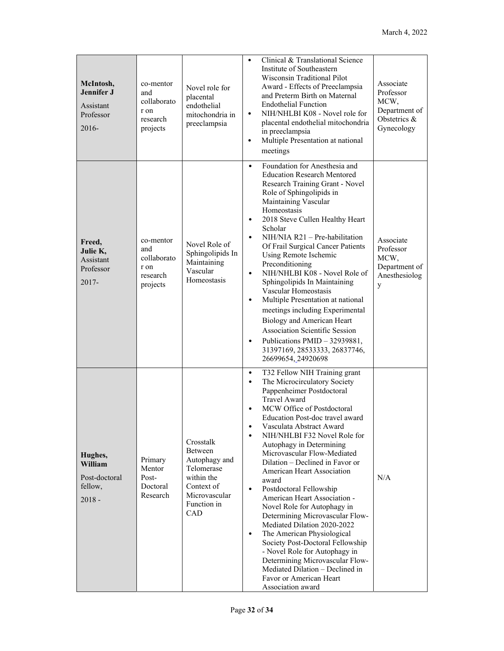| McIntosh,<br><b>Jennifer J</b><br>Assistant<br>Professor<br>$2016 -$ | co-mentor<br>and<br>collaborato<br>r on<br>research<br>projects | Novel role for<br>placental<br>endothelial<br>mitochondria in<br>preeclampsia                                          | Clinical & Translational Science<br>Institute of Southeastern<br>Wisconsin Traditional Pilot<br>Award - Effects of Preeclampsia<br>and Preterm Birth on Maternal<br><b>Endothelial Function</b><br>NIH/NHLBI K08 - Novel role for<br>$\bullet$<br>placental endothelial mitochondria<br>in preeclampsia<br>Multiple Presentation at national<br>$\bullet$<br>meetings                                                                                                                                                                                                                                                                                                                                                                                                                                                                                  | Associate<br>Professor<br>MCW,<br>Department of<br>Obstetrics &<br>Gynecology |
|----------------------------------------------------------------------|-----------------------------------------------------------------|------------------------------------------------------------------------------------------------------------------------|--------------------------------------------------------------------------------------------------------------------------------------------------------------------------------------------------------------------------------------------------------------------------------------------------------------------------------------------------------------------------------------------------------------------------------------------------------------------------------------------------------------------------------------------------------------------------------------------------------------------------------------------------------------------------------------------------------------------------------------------------------------------------------------------------------------------------------------------------------|-------------------------------------------------------------------------------|
| Freed,<br>Julie K,<br>Assistant<br>Professor<br>$2017 -$             | co-mentor<br>and<br>collaborato<br>r on<br>research<br>projects | Novel Role of<br>Sphingolipids In<br>Maintaining<br>Vascular<br>Homeostasis                                            | Foundation for Anesthesia and<br>$\bullet$<br><b>Education Research Mentored</b><br>Research Training Grant - Novel<br>Role of Sphingolipids in<br>Maintaining Vascular<br>Homeostasis<br>2018 Steve Cullen Healthy Heart<br>$\bullet$<br>Scholar<br>$NIH/NIA$ R21 – Pre-habilitation<br>$\bullet$<br>Of Frail Surgical Cancer Patients<br>Using Remote Ischemic<br>Preconditioning<br>NIH/NHLBI K08 - Novel Role of<br>$\bullet$<br>Sphingolipids In Maintaining<br>Vascular Homeostasis<br>Multiple Presentation at national<br>meetings including Experimental<br>Biology and American Heart<br><b>Association Scientific Session</b><br>Publications PMID - 32939881,<br>$\bullet$<br>31397169, 28533333, 26837746,<br>26699654, 24920698                                                                                                          | Associate<br>Professor<br>MCW,<br>Department of<br>Anesthesiolog<br>y         |
| Hughes,<br>William<br>Post-doctoral<br>fellow,<br>$2018 -$           | Primary<br>Mentor<br>Post-<br>Doctoral<br>Research              | Crosstalk<br>Between<br>Autophagy and<br>Telomerase<br>within the<br>Context of<br>Microvascular<br>Function in<br>CAD | T32 Fellow NIH Training grant<br>$\bullet$<br>The Microcirculatory Society<br>$\bullet$<br>Pappenheimer Postdoctoral<br><b>Travel Award</b><br>MCW Office of Postdoctoral<br>Education Post-doc travel award<br>Vasculata Abstract Award<br>$\bullet$<br>NIH/NHLBI F32 Novel Role for<br>$\bullet$<br>Autophagy in Determining<br>Microvascular Flow-Mediated<br>Dilation - Declined in Favor or<br>American Heart Association<br>award<br>Postdoctoral Fellowship<br>$\bullet$<br>American Heart Association -<br>Novel Role for Autophagy in<br>Determining Microvascular Flow-<br>Mediated Dilation 2020-2022<br>The American Physiological<br>$\bullet$<br>Society Post-Doctoral Fellowship<br>- Novel Role for Autophagy in<br>Determining Microvascular Flow-<br>Mediated Dilation - Declined in<br>Favor or American Heart<br>Association award | N/A                                                                           |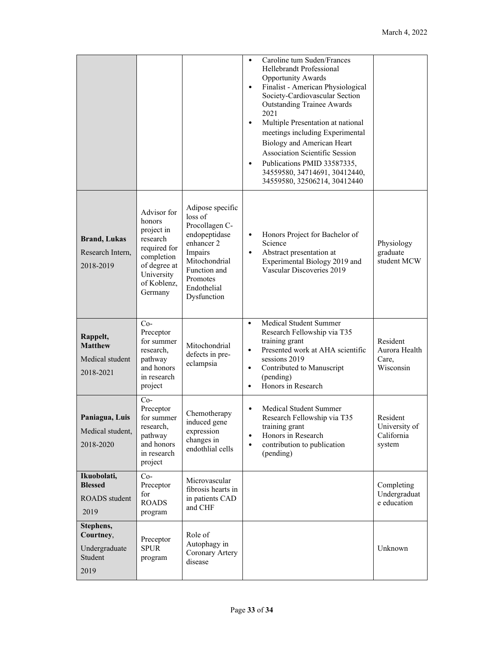|                                                            |                                                                                                                                       |                                                                                                                                                                    | $\bullet$<br>$\bullet$<br>$\bullet$<br>$\bullet$ | Caroline tum Suden/Frances<br>Hellebrandt Professional<br><b>Opportunity Awards</b><br>Finalist - American Physiological<br>Society-Cardiovascular Section<br><b>Outstanding Trainee Awards</b><br>2021<br>Multiple Presentation at national<br>meetings including Experimental<br>Biology and American Heart<br>Association Scientific Session<br>Publications PMID 33587335,<br>34559580, 34714691, 30412440,<br>34559580, 32506214, 30412440 |                                                   |
|------------------------------------------------------------|---------------------------------------------------------------------------------------------------------------------------------------|--------------------------------------------------------------------------------------------------------------------------------------------------------------------|--------------------------------------------------|-------------------------------------------------------------------------------------------------------------------------------------------------------------------------------------------------------------------------------------------------------------------------------------------------------------------------------------------------------------------------------------------------------------------------------------------------|---------------------------------------------------|
| <b>Brand, Lukas</b><br>Research Intern,<br>2018-2019       | Advisor for<br>honors<br>project in<br>research<br>required for<br>completion<br>of degree at<br>University<br>of Koblenz,<br>Germany | Adipose specific<br>loss of<br>Procollagen C-<br>endopeptidase<br>enhancer 2<br>Impairs<br>Mitochondrial<br>Function and<br>Promotes<br>Endothelial<br>Dysfunction | $\bullet$<br>$\bullet$                           | Honors Project for Bachelor of<br>Science<br>Abstract presentation at<br>Experimental Biology 2019 and<br>Vascular Discoveries 2019                                                                                                                                                                                                                                                                                                             | Physiology<br>graduate<br>student MCW             |
| Rappelt,<br><b>Matthew</b><br>Medical student<br>2018-2021 | $Co-$<br>Preceptor<br>for summer<br>research,<br>pathway<br>and honors<br>in research<br>project                                      | Mitochondrial<br>defects in pre-<br>eclampsia                                                                                                                      | $\bullet$<br>$\bullet$<br>$\bullet$<br>$\bullet$ | Medical Student Summer<br>Research Fellowship via T35<br>training grant<br>Presented work at AHA scientific<br>sessions 2019<br>Contributed to Manuscript<br>(pending)<br>Honors in Research                                                                                                                                                                                                                                                    | Resident<br>Aurora Health<br>Care,<br>Wisconsin   |
| Paniagua, Luis<br>Medical student,<br>2018-2020            | $Co-$<br>Preceptor<br>for summer<br>research,<br>pathway<br>and honors<br>in research<br>project                                      | Chemotherapy<br>induced gene<br>expression<br>changes in<br>endothlial cells                                                                                       | $\bullet$<br>$\bullet$                           | Medical Student Summer<br>Research Fellowship via T35<br>training grant<br>Honors in Research<br>contribution to publication<br>(pending)                                                                                                                                                                                                                                                                                                       | Resident<br>University of<br>California<br>system |
| Ikuobolati,<br><b>Blessed</b><br>ROADS student<br>2019     | $Co-$<br>Preceptor<br>for<br><b>ROADS</b><br>program                                                                                  | Microvascular<br>fibrosis hearts in<br>in patients CAD<br>and CHF                                                                                                  |                                                  |                                                                                                                                                                                                                                                                                                                                                                                                                                                 | Completing<br>Undergraduat<br>e education         |
| Stephens,<br>Courtney,<br>Undergraduate<br>Student<br>2019 | Preceptor<br><b>SPUR</b><br>program                                                                                                   | Role of<br>Autophagy in<br>Coronary Artery<br>disease                                                                                                              |                                                  |                                                                                                                                                                                                                                                                                                                                                                                                                                                 | Unknown                                           |